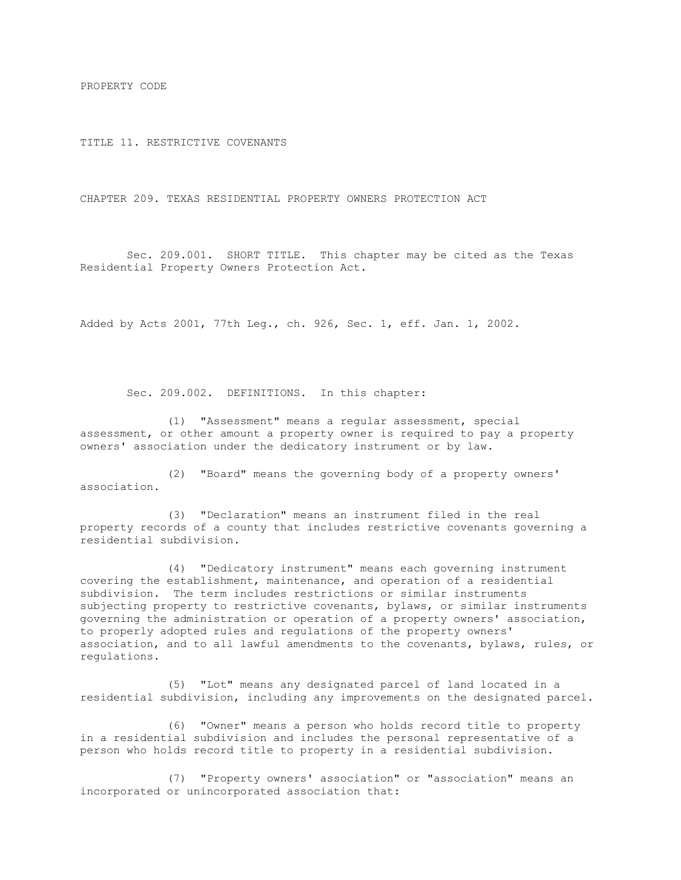PROPERTY CODE

TITLE 11. RESTRICTIVE COVENANTS

CHAPTER 209. TEXAS RESIDENTIAL PROPERTY OWNERS PROTECTION ACT

Sec. 209.001. SHORT TITLE. This chapter may be cited as the Texas Residential Property Owners Protection Act.

Added by Acts 2001, 77th Leg., ch. 926, Sec. 1, eff. Jan. 1, 2002.

Sec. 209.002. DEFINITIONS. In this chapter:

(1) "Assessment" means a regular assessment, special assessment, or other amount a property owner is required to pay a property owners' association under the dedicatory instrument or by law.

(2) "Board" means the governing body of a property owners' association.

(3) "Declaration" means an instrument filed in the real property records of a county that includes restrictive covenants governing a residential subdivision.

(4) "Dedicatory instrument" means each governing instrument covering the establishment, maintenance, and operation of a residential subdivision. The term includes restrictions or similar instruments subjecting property to restrictive covenants, bylaws, or similar instruments governing the administration or operation of a property owners' association, to properly adopted rules and regulations of the property owners' association, and to all lawful amendments to the covenants, bylaws, rules, or regulations.

(5) "Lot" means any designated parcel of land located in a residential subdivision, including any improvements on the designated parcel.

(6) "Owner" means a person who holds record title to property in a residential subdivision and includes the personal representative of a person who holds record title to property in a residential subdivision.

(7) "Property owners' association" or "association" means an incorporated or unincorporated association that: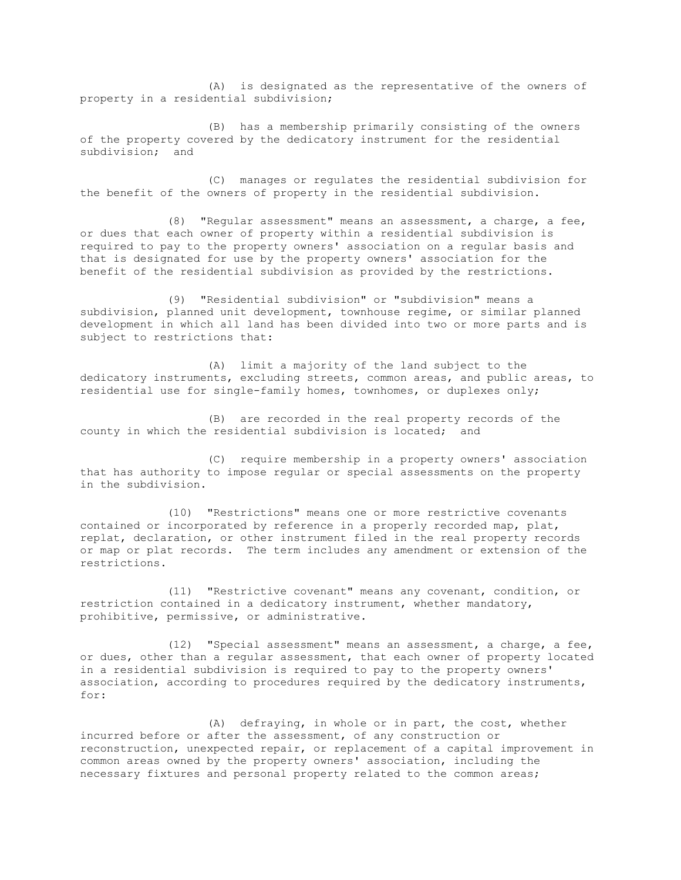(A) is designated as the representative of the owners of property in a residential subdivision;

(B) has a membership primarily consisting of the owners of the property covered by the dedicatory instrument for the residential subdivision; and

(C) manages or regulates the residential subdivision for the benefit of the owners of property in the residential subdivision.

(8) "Regular assessment" means an assessment, a charge, a fee, or dues that each owner of property within a residential subdivision is required to pay to the property owners' association on a regular basis and that is designated for use by the property owners' association for the benefit of the residential subdivision as provided by the restrictions.

(9) "Residential subdivision" or "subdivision" means a subdivision, planned unit development, townhouse regime, or similar planned development in which all land has been divided into two or more parts and is subject to restrictions that:

(A) limit a majority of the land subject to the dedicatory instruments, excluding streets, common areas, and public areas, to residential use for single-family homes, townhomes, or duplexes only;

(B) are recorded in the real property records of the county in which the residential subdivision is located; and

(C) require membership in a property owners' association that has authority to impose regular or special assessments on the property in the subdivision.

(10) "Restrictions" means one or more restrictive covenants contained or incorporated by reference in a properly recorded map, plat, replat, declaration, or other instrument filed in the real property records or map or plat records. The term includes any amendment or extension of the restrictions.

(11) "Restrictive covenant" means any covenant, condition, or restriction contained in a dedicatory instrument, whether mandatory, prohibitive, permissive, or administrative.

(12) "Special assessment" means an assessment, a charge, a fee, or dues, other than a regular assessment, that each owner of property located in a residential subdivision is required to pay to the property owners' association, according to procedures required by the dedicatory instruments, for:

(A) defraying, in whole or in part, the cost, whether incurred before or after the assessment, of any construction or reconstruction, unexpected repair, or replacement of a capital improvement in common areas owned by the property owners' association, including the necessary fixtures and personal property related to the common areas;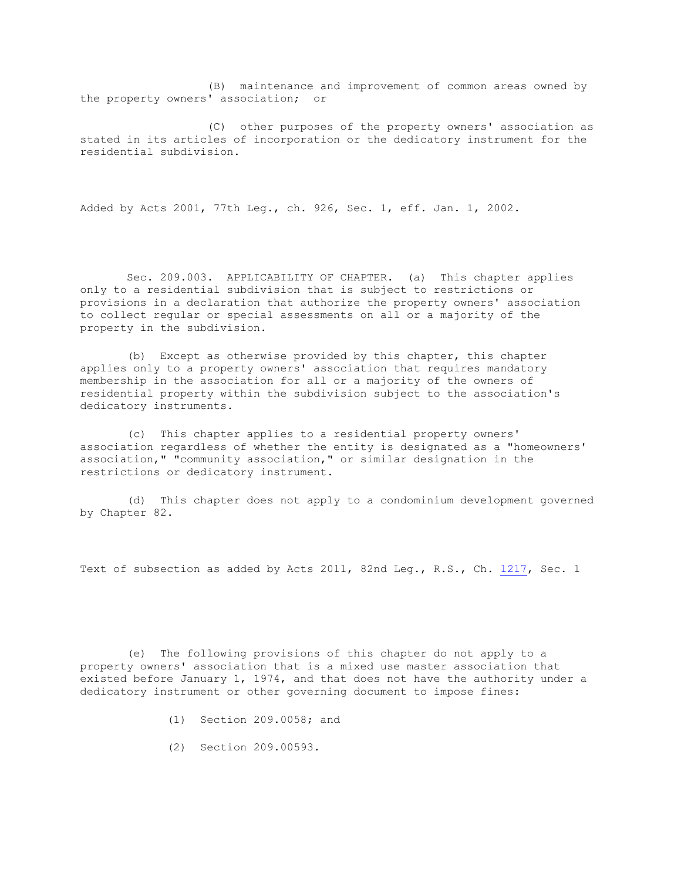(B) maintenance and improvement of common areas owned by the property owners' association; or

(C) other purposes of the property owners' association as stated in its articles of incorporation or the dedicatory instrument for the residential subdivision.

Added by Acts 2001, 77th Leg., ch. 926, Sec. 1, eff. Jan. 1, 2002.

Sec. 209.003. APPLICABILITY OF CHAPTER. (a) This chapter applies only to a residential subdivision that is subject to restrictions or provisions in a declaration that authorize the property owners' association to collect regular or special assessments on all or a majority of the property in the subdivision.

(b) Except as otherwise provided by this chapter, this chapter applies only to a property owners' association that requires mandatory membership in the association for all or a majority of the owners of residential property within the subdivision subject to the association's dedicatory instruments.

(c) This chapter applies to a residential property owners' association regardless of whether the entity is designated as a "homeowners' association," "community association," or similar designation in the restrictions or dedicatory instrument.

(d) This chapter does not apply to a condominium development governed by Chapter 82.

Text of subsection as added by Acts 2011, 82nd Leg., R.S., Ch. [1217,](http://www.legis.state.tx.us/tlodocs/82R/billtext/html/SB00472F.HTM) Sec. 1

(e) The following provisions of this chapter do not apply to a property owners' association that is a mixed use master association that existed before January 1, 1974, and that does not have the authority under a dedicatory instrument or other governing document to impose fines:

- (1) Section 209.0058; and
- (2) Section 209.00593.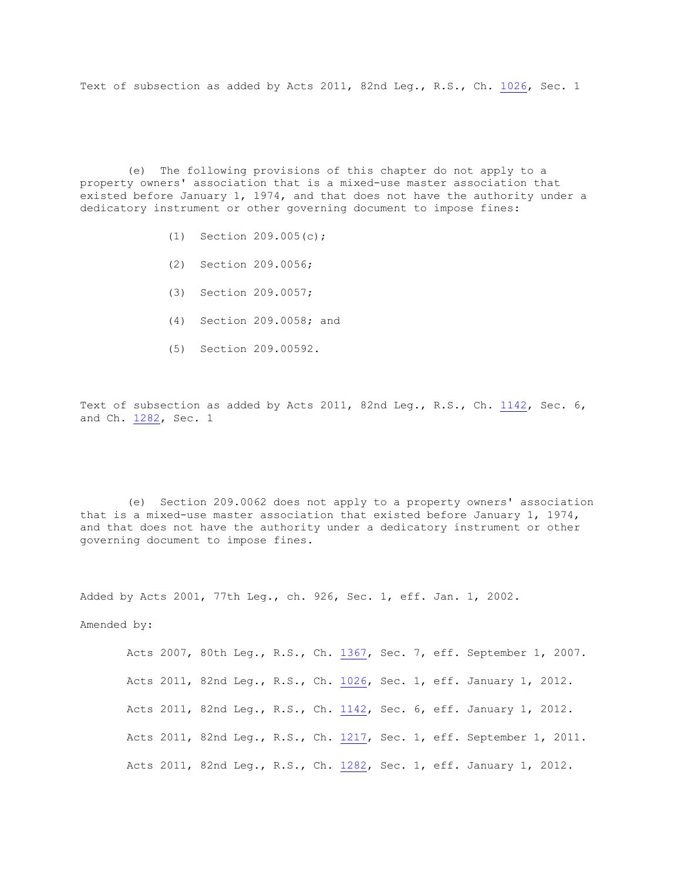Text of subsection as added by Acts 2011, 82nd Leg., R.S., Ch. [1026,](http://www.legis.state.tx.us/tlodocs/82R/billtext/html/HB02761F.HTM) Sec. 1

(e) The following provisions of this chapter do not apply to a property owners' association that is a mixed-use master association that existed before January 1, 1974, and that does not have the authority under a dedicatory instrument or other governing document to impose fines:

- (1) Section 209.005(c);
- (2) Section 209.0056;
- (3) Section 209.0057;
- (4) Section 209.0058; and
- (5) Section 209.00592.

Text of subsection as added by Acts 2011, 82nd Leg., R.S., Ch. [1142,](http://www.legis.state.tx.us/tlodocs/82R/billtext/html/HB01821F.HTM) Sec. 6, and Ch. [1282,](http://www.legis.state.tx.us/tlodocs/82R/billtext/html/HB01228F.HTM) Sec. 1

(e) Section 209.0062 does not apply to a property owners' association that is a mixed-use master association that existed before January 1, 1974, and that does not have the authority under a dedicatory instrument or other governing document to impose fines.

Added by Acts 2001, 77th Leg., ch. 926, Sec. 1, eff. Jan. 1, 2002.

Amended by:

Acts 2007, 80th Leg., R.S., Ch. [1367,](http://www.legis.state.tx.us/tlodocs/80R/billtext/html/HB03674F.HTM) Sec. 7, eff. September 1, 2007. Acts 2011, 82nd Leg., R.S., Ch. [1026,](http://www.legis.state.tx.us/tlodocs/82R/billtext/html/HB02761F.HTM) Sec. 1, eff. January 1, 2012. Acts 2011, 82nd Leg., R.S., Ch. [1142,](http://www.legis.state.tx.us/tlodocs/82R/billtext/html/HB01821F.HTM) Sec. 6, eff. January 1, 2012. Acts 2011, 82nd Leg., R.S., Ch. [1217,](http://www.legis.state.tx.us/tlodocs/82R/billtext/html/SB00472F.HTM) Sec. 1, eff. September 1, 2011. Acts 2011, 82nd Leg., R.S., Ch. [1282,](http://www.legis.state.tx.us/tlodocs/82R/billtext/html/HB01228F.HTM) Sec. 1, eff. January 1, 2012.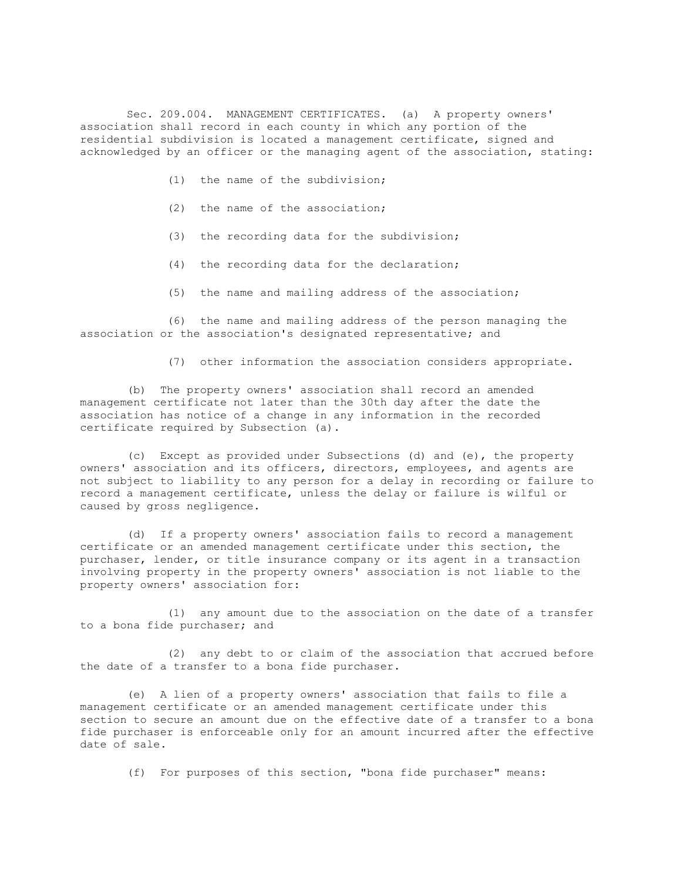Sec. 209.004. MANAGEMENT CERTIFICATES. (a) A property owners' association shall record in each county in which any portion of the residential subdivision is located a management certificate, signed and acknowledged by an officer or the managing agent of the association, stating:

- (1) the name of the subdivision;
- (2) the name of the association;
- (3) the recording data for the subdivision;
- (4) the recording data for the declaration;
- (5) the name and mailing address of the association;

(6) the name and mailing address of the person managing the association or the association's designated representative; and

(7) other information the association considers appropriate.

(b) The property owners' association shall record an amended management certificate not later than the 30th day after the date the association has notice of a change in any information in the recorded certificate required by Subsection (a).

(c) Except as provided under Subsections (d) and (e), the property owners' association and its officers, directors, employees, and agents are not subject to liability to any person for a delay in recording or failure to record a management certificate, unless the delay or failure is wilful or caused by gross negligence.

(d) If a property owners' association fails to record a management certificate or an amended management certificate under this section, the purchaser, lender, or title insurance company or its agent in a transaction involving property in the property owners' association is not liable to the property owners' association for:

(1) any amount due to the association on the date of a transfer to a bona fide purchaser; and

(2) any debt to or claim of the association that accrued before the date of a transfer to a bona fide purchaser.

(e) A lien of a property owners' association that fails to file a management certificate or an amended management certificate under this section to secure an amount due on the effective date of a transfer to a bona fide purchaser is enforceable only for an amount incurred after the effective date of sale.

(f) For purposes of this section, "bona fide purchaser" means: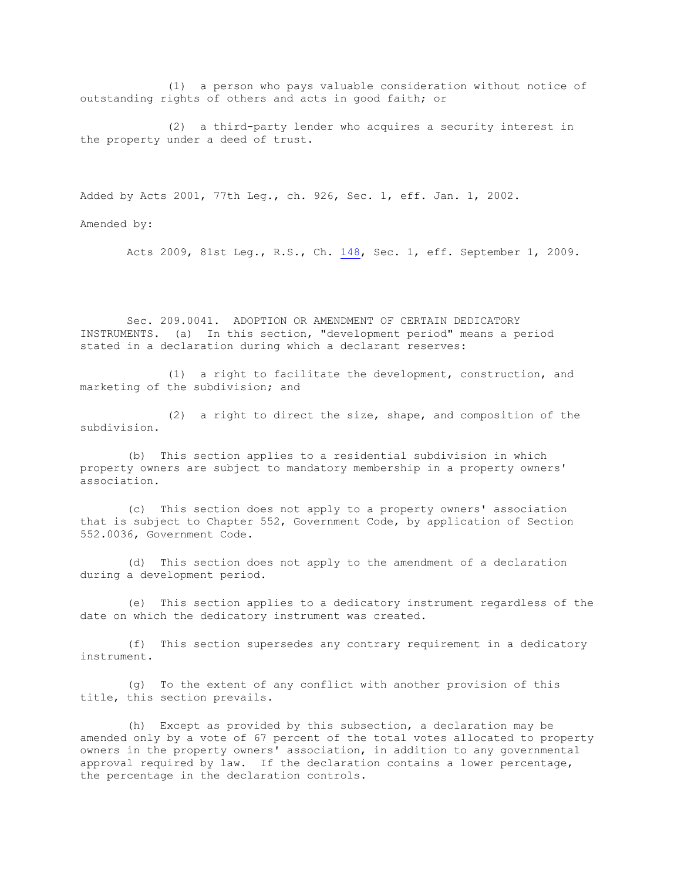(1) a person who pays valuable consideration without notice of outstanding rights of others and acts in good faith; or

(2) a third-party lender who acquires a security interest in the property under a deed of trust.

Added by Acts 2001, 77th Leg., ch. 926, Sec. 1, eff. Jan. 1, 2002.

Amended by:

Acts 2009, 81st Leg., R.S., Ch. [148,](http://www.legis.state.tx.us/tlodocs/81R/billtext/html/SB01919F.HTM) Sec. 1, eff. September 1, 2009.

Sec. 209.0041. ADOPTION OR AMENDMENT OF CERTAIN DEDICATORY INSTRUMENTS. (a) In this section, "development period" means a period stated in a declaration during which a declarant reserves:

(1) a right to facilitate the development, construction, and marketing of the subdivision; and

(2) a right to direct the size, shape, and composition of the subdivision.

(b) This section applies to a residential subdivision in which property owners are subject to mandatory membership in a property owners' association.

(c) This section does not apply to a property owners' association that is subject to Chapter 552, Government Code, by application of Section 552.0036, Government Code.

(d) This section does not apply to the amendment of a declaration during a development period.

(e) This section applies to a dedicatory instrument regardless of the date on which the dedicatory instrument was created.

(f) This section supersedes any contrary requirement in a dedicatory instrument.

(g) To the extent of any conflict with another provision of this title, this section prevails.

(h) Except as provided by this subsection, a declaration may be amended only by a vote of 67 percent of the total votes allocated to property owners in the property owners' association, in addition to any governmental approval required by law. If the declaration contains a lower percentage, the percentage in the declaration controls.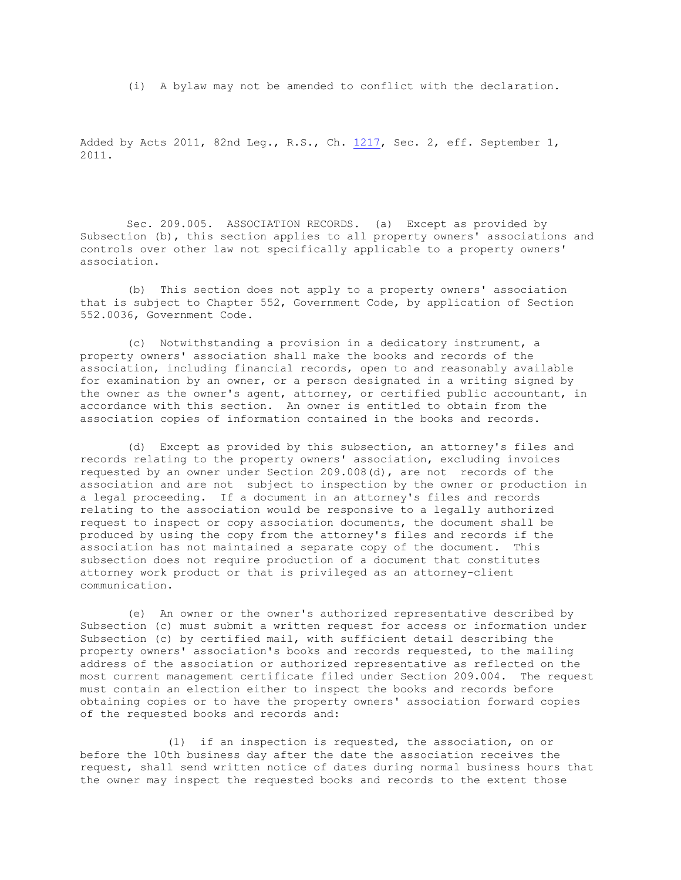(i) A bylaw may not be amended to conflict with the declaration.

Added by Acts 2011, 82nd Leg., R.S., Ch. [1217,](http://www.legis.state.tx.us/tlodocs/82R/billtext/html/SB00472F.HTM) Sec. 2, eff. September 1, 2011.

Sec. 209.005. ASSOCIATION RECORDS. (a) Except as provided by Subsection (b), this section applies to all property owners' associations and controls over other law not specifically applicable to a property owners' association.

(b) This section does not apply to a property owners' association that is subject to Chapter 552, Government Code, by application of Section 552.0036, Government Code.

(c) Notwithstanding a provision in a dedicatory instrument, a property owners' association shall make the books and records of the association, including financial records, open to and reasonably available for examination by an owner, or a person designated in a writing signed by the owner as the owner's agent, attorney, or certified public accountant, in accordance with this section. An owner is entitled to obtain from the association copies of information contained in the books and records.

(d) Except as provided by this subsection, an attorney's files and records relating to the property owners' association, excluding invoices requested by an owner under Section 209.008(d), are not records of the association and are not subject to inspection by the owner or production in a legal proceeding. If a document in an attorney's files and records relating to the association would be responsive to a legally authorized request to inspect or copy association documents, the document shall be produced by using the copy from the attorney's files and records if the association has not maintained a separate copy of the document. This subsection does not require production of a document that constitutes attorney work product or that is privileged as an attorney-client communication.

(e) An owner or the owner's authorized representative described by Subsection (c) must submit a written request for access or information under Subsection (c) by certified mail, with sufficient detail describing the property owners' association's books and records requested, to the mailing address of the association or authorized representative as reflected on the most current management certificate filed under Section 209.004. The request must contain an election either to inspect the books and records before obtaining copies or to have the property owners' association forward copies of the requested books and records and:

(1) if an inspection is requested, the association, on or before the 10th business day after the date the association receives the request, shall send written notice of dates during normal business hours that the owner may inspect the requested books and records to the extent those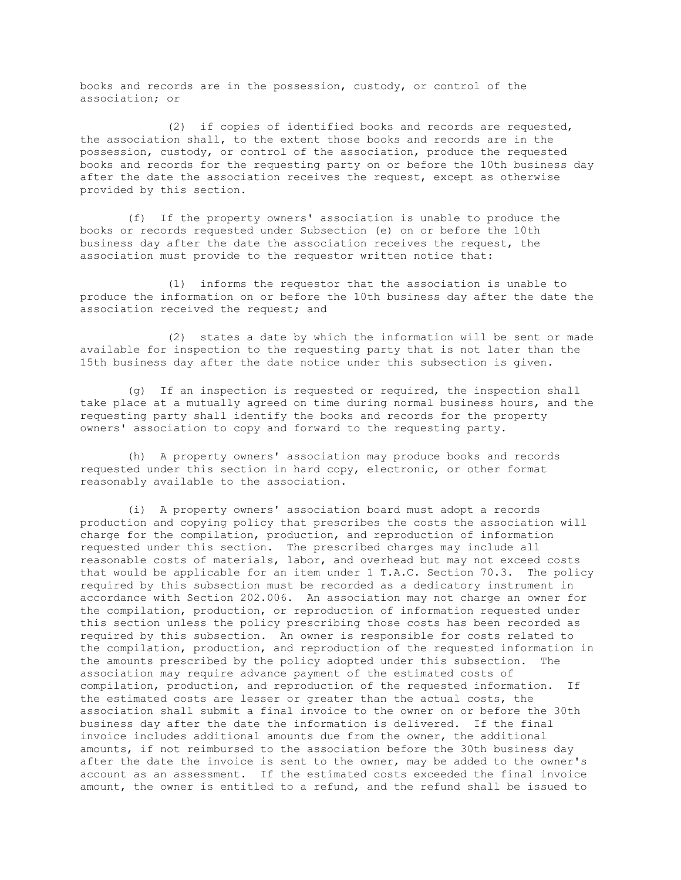books and records are in the possession, custody, or control of the association; or

(2) if copies of identified books and records are requested, the association shall, to the extent those books and records are in the possession, custody, or control of the association, produce the requested books and records for the requesting party on or before the 10th business day after the date the association receives the request, except as otherwise provided by this section.

(f) If the property owners' association is unable to produce the books or records requested under Subsection (e) on or before the 10th business day after the date the association receives the request, the association must provide to the requestor written notice that:

(1) informs the requestor that the association is unable to produce the information on or before the 10th business day after the date the association received the request; and

(2) states a date by which the information will be sent or made available for inspection to the requesting party that is not later than the 15th business day after the date notice under this subsection is given.

(g) If an inspection is requested or required, the inspection shall take place at a mutually agreed on time during normal business hours, and the requesting party shall identify the books and records for the property owners' association to copy and forward to the requesting party.

(h) A property owners' association may produce books and records requested under this section in hard copy, electronic, or other format reasonably available to the association.

(i) A property owners' association board must adopt a records production and copying policy that prescribes the costs the association will charge for the compilation, production, and reproduction of information requested under this section. The prescribed charges may include all reasonable costs of materials, labor, and overhead but may not exceed costs that would be applicable for an item under 1 T.A.C. Section 70.3. The policy required by this subsection must be recorded as a dedicatory instrument in accordance with Section 202.006. An association may not charge an owner for the compilation, production, or reproduction of information requested under this section unless the policy prescribing those costs has been recorded as required by this subsection. An owner is responsible for costs related to the compilation, production, and reproduction of the requested information in the amounts prescribed by the policy adopted under this subsection. The association may require advance payment of the estimated costs of compilation, production, and reproduction of the requested information. If the estimated costs are lesser or greater than the actual costs, the association shall submit a final invoice to the owner on or before the 30th business day after the date the information is delivered. If the final invoice includes additional amounts due from the owner, the additional amounts, if not reimbursed to the association before the 30th business day after the date the invoice is sent to the owner, may be added to the owner's account as an assessment. If the estimated costs exceeded the final invoice amount, the owner is entitled to a refund, and the refund shall be issued to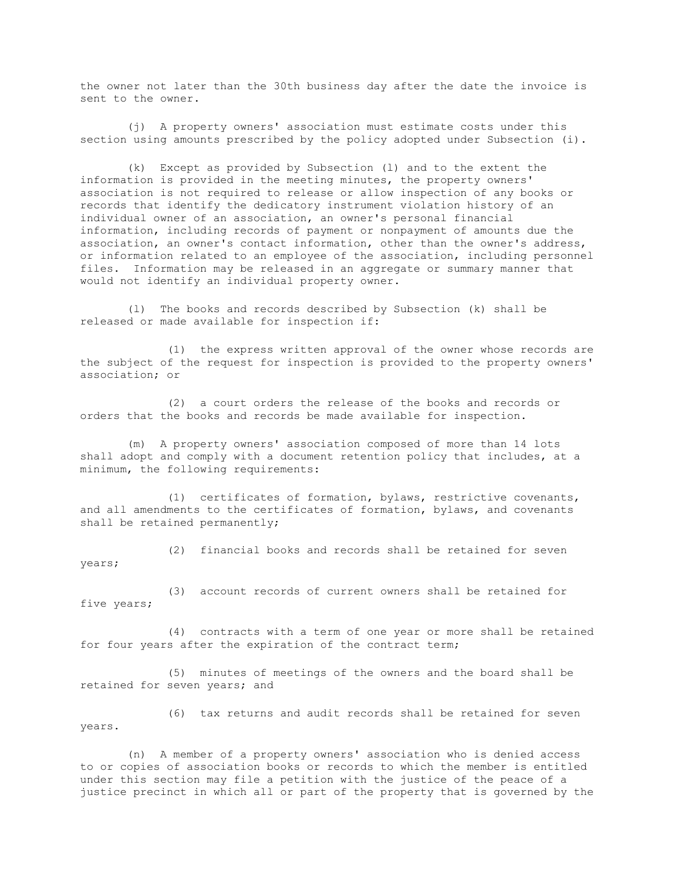the owner not later than the 30th business day after the date the invoice is sent to the owner.

(j) A property owners' association must estimate costs under this section using amounts prescribed by the policy adopted under Subsection (i).

(k) Except as provided by Subsection (l) and to the extent the information is provided in the meeting minutes, the property owners' association is not required to release or allow inspection of any books or records that identify the dedicatory instrument violation history of an individual owner of an association, an owner's personal financial information, including records of payment or nonpayment of amounts due the association, an owner's contact information, other than the owner's address, or information related to an employee of the association, including personnel files. Information may be released in an aggregate or summary manner that would not identify an individual property owner.

(l) The books and records described by Subsection (k) shall be released or made available for inspection if:

(1) the express written approval of the owner whose records are the subject of the request for inspection is provided to the property owners' association; or

(2) a court orders the release of the books and records or orders that the books and records be made available for inspection.

(m) A property owners' association composed of more than 14 lots shall adopt and comply with a document retention policy that includes, at a minimum, the following requirements:

(1) certificates of formation, bylaws, restrictive covenants, and all amendments to the certificates of formation, bylaws, and covenants shall be retained permanently;

(2) financial books and records shall be retained for seven years;

(3) account records of current owners shall be retained for five years;

(4) contracts with a term of one year or more shall be retained for four years after the expiration of the contract term;

(5) minutes of meetings of the owners and the board shall be retained for seven years; and

(6) tax returns and audit records shall be retained for seven years.

(n) A member of a property owners' association who is denied access to or copies of association books or records to which the member is entitled under this section may file a petition with the justice of the peace of a justice precinct in which all or part of the property that is governed by the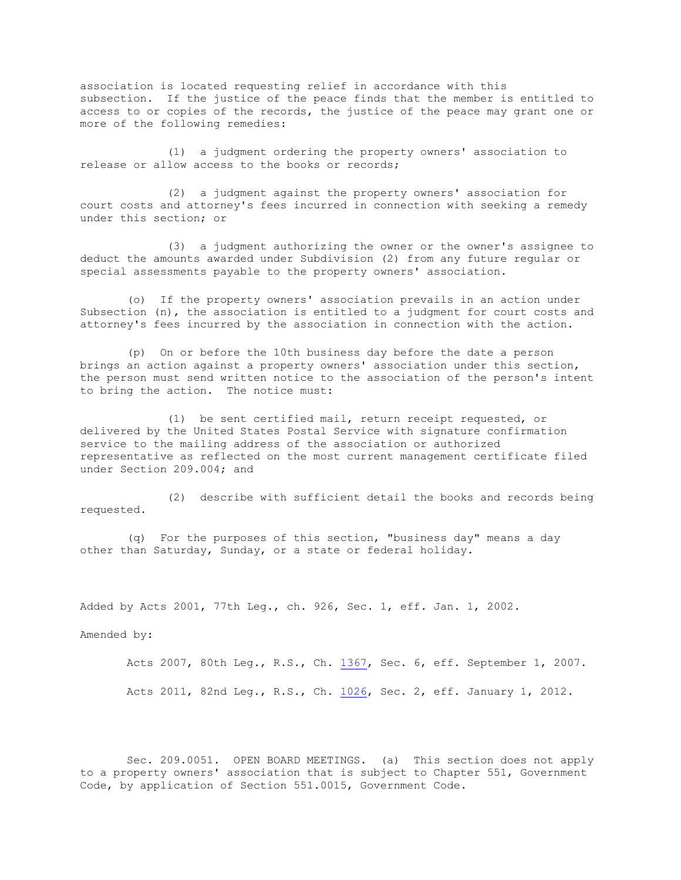association is located requesting relief in accordance with this subsection. If the justice of the peace finds that the member is entitled to access to or copies of the records, the justice of the peace may grant one or more of the following remedies:

(1) a judgment ordering the property owners' association to release or allow access to the books or records;

(2) a judgment against the property owners' association for court costs and attorney's fees incurred in connection with seeking a remedy under this section; or

(3) a judgment authorizing the owner or the owner's assignee to deduct the amounts awarded under Subdivision (2) from any future regular or special assessments payable to the property owners' association.

(o) If the property owners' association prevails in an action under Subsection (n), the association is entitled to a judgment for court costs and attorney's fees incurred by the association in connection with the action.

(p) On or before the 10th business day before the date a person brings an action against a property owners' association under this section, the person must send written notice to the association of the person's intent to bring the action. The notice must:

(1) be sent certified mail, return receipt requested, or delivered by the United States Postal Service with signature confirmation service to the mailing address of the association or authorized representative as reflected on the most current management certificate filed under Section 209.004; and

(2) describe with sufficient detail the books and records being requested.

(q) For the purposes of this section, "business day" means a day other than Saturday, Sunday, or a state or federal holiday.

Added by Acts 2001, 77th Leg., ch. 926, Sec. 1, eff. Jan. 1, 2002.

Amended by:

Acts 2007, 80th Leg., R.S., Ch. [1367,](http://www.legis.state.tx.us/tlodocs/80R/billtext/html/HB03674F.HTM) Sec. 6, eff. September 1, 2007. Acts 2011, 82nd Leg., R.S., Ch. [1026,](http://www.legis.state.tx.us/tlodocs/82R/billtext/html/HB02761F.HTM) Sec. 2, eff. January 1, 2012.

Sec. 209.0051. OPEN BOARD MEETINGS. (a) This section does not apply to a property owners' association that is subject to Chapter 551, Government Code, by application of Section 551.0015, Government Code.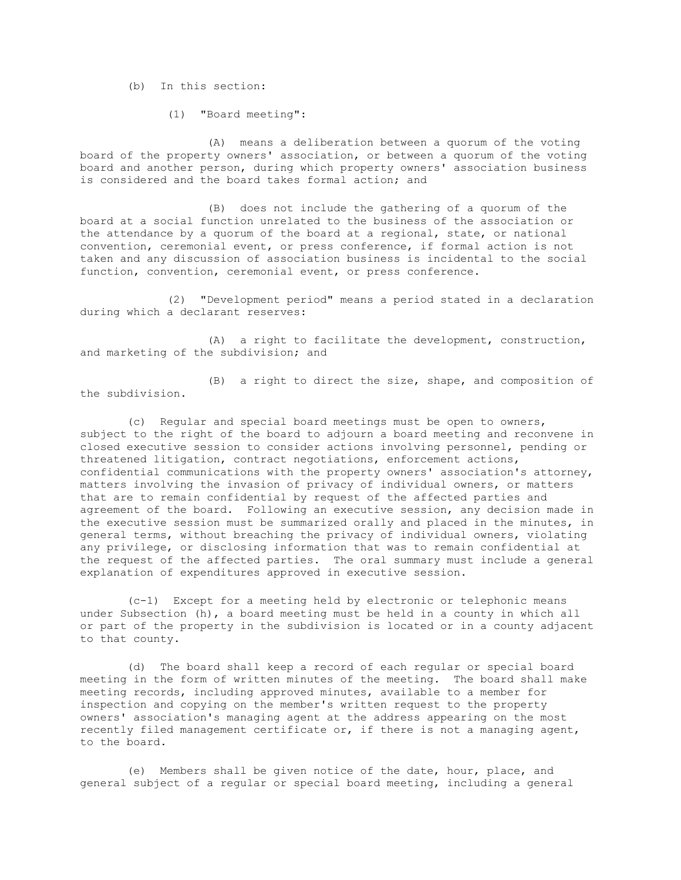(b) In this section:

(1) "Board meeting":

(A) means a deliberation between a quorum of the voting board of the property owners' association, or between a quorum of the voting board and another person, during which property owners' association business is considered and the board takes formal action; and

(B) does not include the gathering of a quorum of the board at a social function unrelated to the business of the association or the attendance by a quorum of the board at a regional, state, or national convention, ceremonial event, or press conference, if formal action is not taken and any discussion of association business is incidental to the social function, convention, ceremonial event, or press conference.

(2) "Development period" means a period stated in a declaration during which a declarant reserves:

(A) a right to facilitate the development, construction, and marketing of the subdivision; and

(B) a right to direct the size, shape, and composition of the subdivision.

(c) Regular and special board meetings must be open to owners, subject to the right of the board to adjourn a board meeting and reconvene in closed executive session to consider actions involving personnel, pending or threatened litigation, contract negotiations, enforcement actions, confidential communications with the property owners' association's attorney, matters involving the invasion of privacy of individual owners, or matters that are to remain confidential by request of the affected parties and agreement of the board. Following an executive session, any decision made in the executive session must be summarized orally and placed in the minutes, in general terms, without breaching the privacy of individual owners, violating any privilege, or disclosing information that was to remain confidential at the request of the affected parties. The oral summary must include a general explanation of expenditures approved in executive session.

(c-1) Except for a meeting held by electronic or telephonic means under Subsection (h), a board meeting must be held in a county in which all or part of the property in the subdivision is located or in a county adjacent to that county.

(d) The board shall keep a record of each regular or special board meeting in the form of written minutes of the meeting. The board shall make meeting records, including approved minutes, available to a member for inspection and copying on the member's written request to the property owners' association's managing agent at the address appearing on the most recently filed management certificate or, if there is not a managing agent, to the board.

(e) Members shall be given notice of the date, hour, place, and general subject of a regular or special board meeting, including a general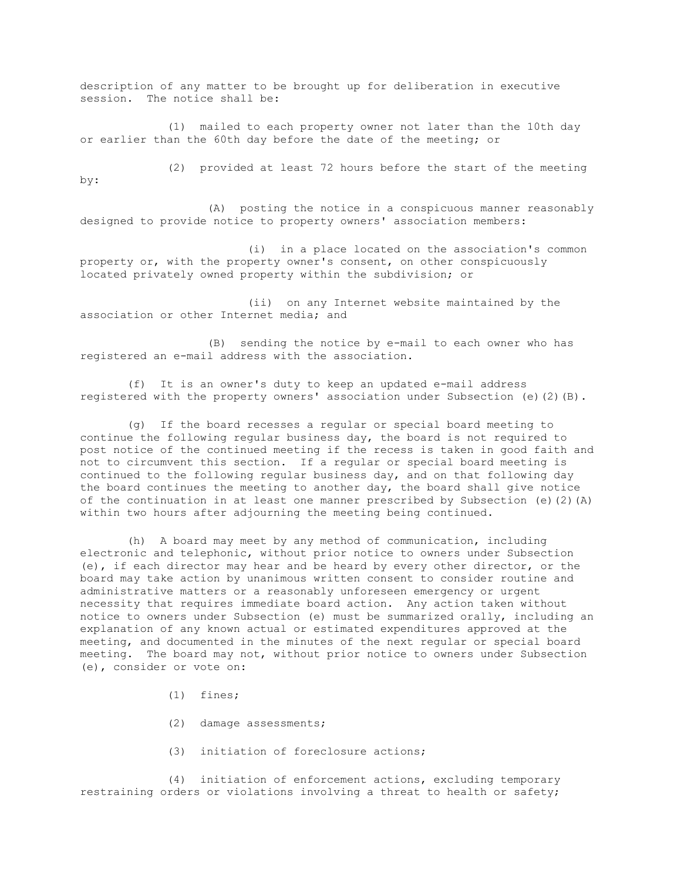description of any matter to be brought up for deliberation in executive session. The notice shall be:

(1) mailed to each property owner not later than the 10th day or earlier than the 60th day before the date of the meeting; or

(2) provided at least 72 hours before the start of the meeting by:

(A) posting the notice in a conspicuous manner reasonably designed to provide notice to property owners' association members:

(i) in a place located on the association's common property or, with the property owner's consent, on other conspicuously located privately owned property within the subdivision; or

(ii) on any Internet website maintained by the association or other Internet media; and

(B) sending the notice by e-mail to each owner who has registered an e-mail address with the association.

(f) It is an owner's duty to keep an updated e-mail address registered with the property owners' association under Subsection (e)(2)(B).

(g) If the board recesses a regular or special board meeting to continue the following regular business day, the board is not required to post notice of the continued meeting if the recess is taken in good faith and not to circumvent this section. If a regular or special board meeting is continued to the following regular business day, and on that following day the board continues the meeting to another day, the board shall give notice of the continuation in at least one manner prescribed by Subsection (e)(2)(A) within two hours after adjourning the meeting being continued.

(h) A board may meet by any method of communication, including electronic and telephonic, without prior notice to owners under Subsection (e), if each director may hear and be heard by every other director, or the board may take action by unanimous written consent to consider routine and administrative matters or a reasonably unforeseen emergency or urgent necessity that requires immediate board action. Any action taken without notice to owners under Subsection (e) must be summarized orally, including an explanation of any known actual or estimated expenditures approved at the meeting, and documented in the minutes of the next regular or special board meeting. The board may not, without prior notice to owners under Subsection (e), consider or vote on:

- (1) fines;
- (2) damage assessments;
- (3) initiation of foreclosure actions;

(4) initiation of enforcement actions, excluding temporary restraining orders or violations involving a threat to health or safety;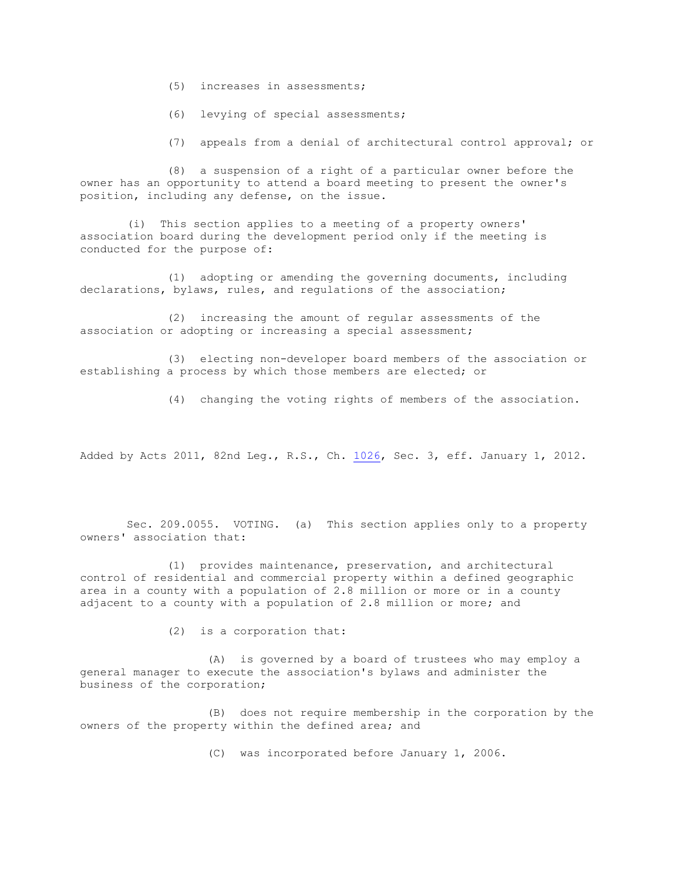- (5) increases in assessments;
- (6) levying of special assessments;
- (7) appeals from a denial of architectural control approval; or

(8) a suspension of a right of a particular owner before the owner has an opportunity to attend a board meeting to present the owner's position, including any defense, on the issue.

(i) This section applies to a meeting of a property owners' association board during the development period only if the meeting is conducted for the purpose of:

(1) adopting or amending the governing documents, including declarations, bylaws, rules, and regulations of the association;

(2) increasing the amount of regular assessments of the association or adopting or increasing a special assessment;

(3) electing non-developer board members of the association or establishing a process by which those members are elected; or

(4) changing the voting rights of members of the association.

Added by Acts 2011, 82nd Leg., R.S., Ch. [1026,](http://www.legis.state.tx.us/tlodocs/82R/billtext/html/HB02761F.HTM) Sec. 3, eff. January 1, 2012.

Sec. 209.0055. VOTING. (a) This section applies only to a property owners' association that:

(1) provides maintenance, preservation, and architectural control of residential and commercial property within a defined geographic area in a county with a population of 2.8 million or more or in a county adjacent to a county with a population of 2.8 million or more; and

(2) is a corporation that:

(A) is governed by a board of trustees who may employ a general manager to execute the association's bylaws and administer the business of the corporation;

(B) does not require membership in the corporation by the owners of the property within the defined area; and

(C) was incorporated before January 1, 2006.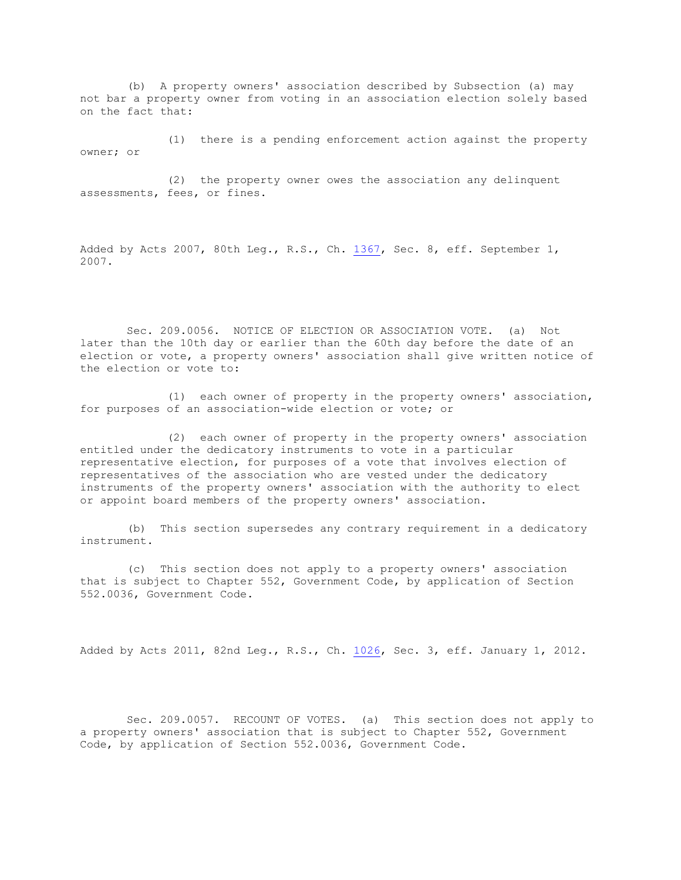(b) A property owners' association described by Subsection (a) may not bar a property owner from voting in an association election solely based on the fact that:

(1) there is a pending enforcement action against the property owner; or

(2) the property owner owes the association any delinquent assessments, fees, or fines.

Added by Acts 2007, 80th Leg., R.S., Ch. [1367,](http://www.legis.state.tx.us/tlodocs/80R/billtext/html/HB03674F.HTM) Sec. 8, eff. September 1, 2007.

Sec. 209.0056. NOTICE OF ELECTION OR ASSOCIATION VOTE. (a) Not later than the 10th day or earlier than the 60th day before the date of an election or vote, a property owners' association shall give written notice of the election or vote to:

(1) each owner of property in the property owners' association, for purposes of an association-wide election or vote; or

(2) each owner of property in the property owners' association entitled under the dedicatory instruments to vote in a particular representative election, for purposes of a vote that involves election of representatives of the association who are vested under the dedicatory instruments of the property owners' association with the authority to elect or appoint board members of the property owners' association.

(b) This section supersedes any contrary requirement in a dedicatory instrument.

(c) This section does not apply to a property owners' association that is subject to Chapter 552, Government Code, by application of Section 552.0036, Government Code.

Added by Acts 2011, 82nd Leg., R.S., Ch. [1026,](http://www.legis.state.tx.us/tlodocs/82R/billtext/html/HB02761F.HTM) Sec. 3, eff. January 1, 2012.

Sec. 209.0057. RECOUNT OF VOTES. (a) This section does not apply to a property owners' association that is subject to Chapter 552, Government Code, by application of Section 552.0036, Government Code.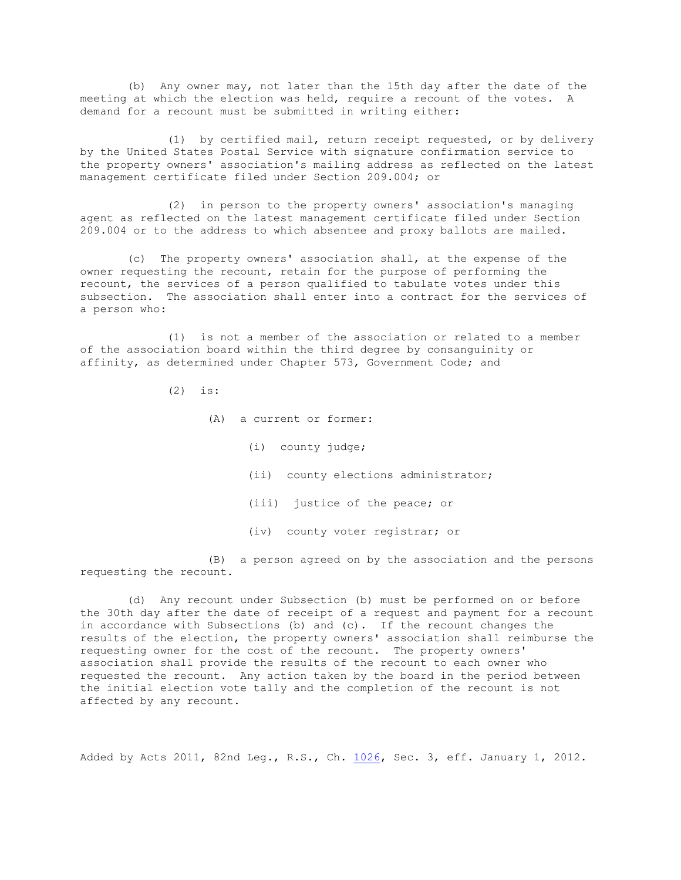(b) Any owner may, not later than the 15th day after the date of the meeting at which the election was held, require a recount of the votes. A demand for a recount must be submitted in writing either:

(1) by certified mail, return receipt requested, or by delivery by the United States Postal Service with signature confirmation service to the property owners' association's mailing address as reflected on the latest management certificate filed under Section 209.004; or

(2) in person to the property owners' association's managing agent as reflected on the latest management certificate filed under Section 209.004 or to the address to which absentee and proxy ballots are mailed.

(c) The property owners' association shall, at the expense of the owner requesting the recount, retain for the purpose of performing the recount, the services of a person qualified to tabulate votes under this subsection. The association shall enter into a contract for the services of a person who:

(1) is not a member of the association or related to a member of the association board within the third degree by consanguinity or affinity, as determined under Chapter 573, Government Code; and

(2) is:

(A) a current or former: (i) county judge; (ii) county elections administrator; (iii) justice of the peace; or (iv) county voter registrar; or

(B) a person agreed on by the association and the persons requesting the recount.

(d) Any recount under Subsection (b) must be performed on or before the 30th day after the date of receipt of a request and payment for a recount in accordance with Subsections (b) and (c). If the recount changes the results of the election, the property owners' association shall reimburse the requesting owner for the cost of the recount. The property owners' association shall provide the results of the recount to each owner who requested the recount. Any action taken by the board in the period between the initial election vote tally and the completion of the recount is not affected by any recount.

Added by Acts 2011, 82nd Leg., R.S., Ch. [1026,](http://www.legis.state.tx.us/tlodocs/82R/billtext/html/HB02761F.HTM) Sec. 3, eff. January 1, 2012.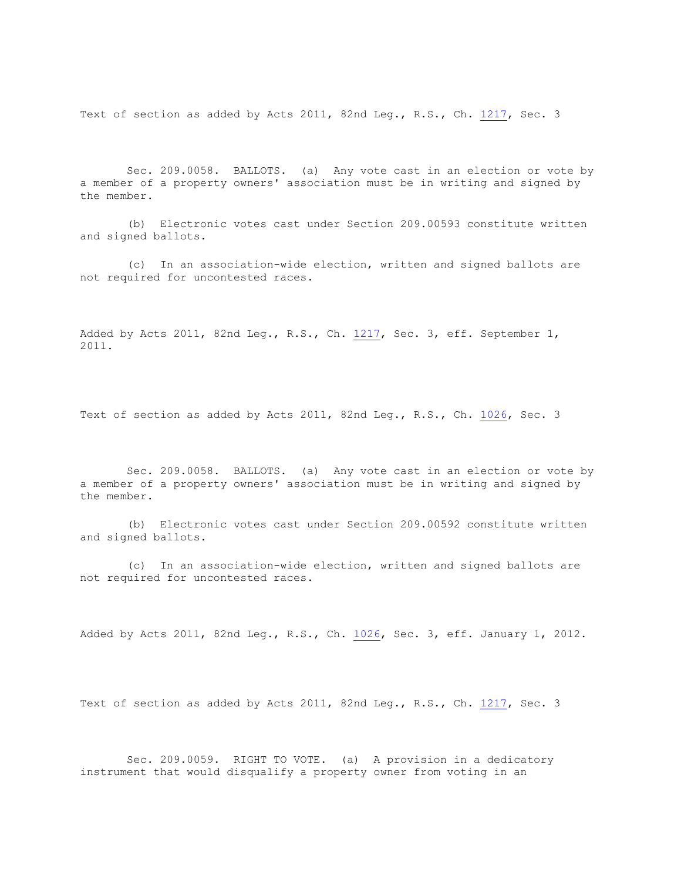Text of section as added by Acts 2011, 82nd Leg., R.S., Ch. [1217,](http://www.legis.state.tx.us/tlodocs/82R/billtext/html/SB00472F.HTM) Sec. 3

Sec. 209.0058. BALLOTS. (a) Any vote cast in an election or vote by a member of a property owners' association must be in writing and signed by the member.

(b) Electronic votes cast under Section 209.00593 constitute written and signed ballots.

(c) In an association-wide election, written and signed ballots are not required for uncontested races.

Added by Acts 2011, 82nd Leg., R.S., Ch. [1217,](http://www.legis.state.tx.us/tlodocs/82R/billtext/html/SB00472F.HTM) Sec. 3, eff. September 1, 2011.

Text of section as added by Acts 2011, 82nd Leg., R.S., Ch. [1026,](http://www.legis.state.tx.us/tlodocs/82R/billtext/html/HB02761F.HTM) Sec. 3

Sec. 209.0058. BALLOTS. (a) Any vote cast in an election or vote by a member of a property owners' association must be in writing and signed by the member.

(b) Electronic votes cast under Section 209.00592 constitute written and signed ballots.

(c) In an association-wide election, written and signed ballots are not required for uncontested races.

Added by Acts 2011, 82nd Leg., R.S., Ch. [1026,](http://www.legis.state.tx.us/tlodocs/82R/billtext/html/HB02761F.HTM) Sec. 3, eff. January 1, 2012.

Text of section as added by Acts 2011, 82nd Leg., R.S., Ch. [1217,](http://www.legis.state.tx.us/tlodocs/82R/billtext/html/SB00472F.HTM) Sec. 3

Sec. 209.0059. RIGHT TO VOTE. (a) A provision in a dedicatory instrument that would disqualify a property owner from voting in an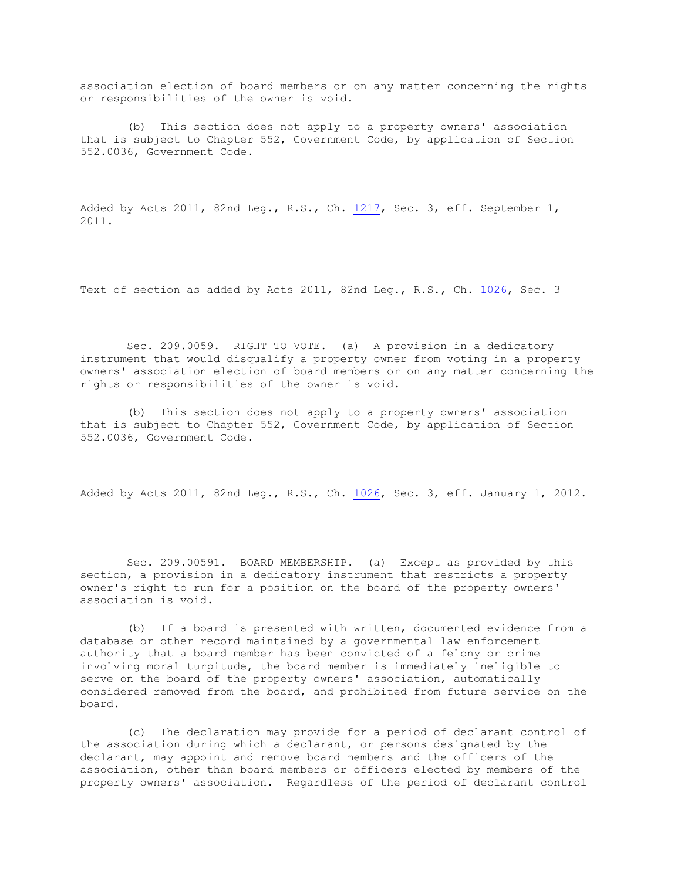association election of board members or on any matter concerning the rights or responsibilities of the owner is void.

(b) This section does not apply to a property owners' association that is subject to Chapter 552, Government Code, by application of Section 552.0036, Government Code.

Added by Acts 2011, 82nd Leg., R.S., Ch. [1217,](http://www.legis.state.tx.us/tlodocs/82R/billtext/html/SB00472F.HTM) Sec. 3, eff. September 1, 2011.

Text of section as added by Acts 2011, 82nd Leg., R.S., Ch. [1026,](http://www.legis.state.tx.us/tlodocs/82R/billtext/html/HB02761F.HTM) Sec. 3

Sec. 209.0059. RIGHT TO VOTE. (a) A provision in a dedicatory instrument that would disqualify a property owner from voting in a property owners' association election of board members or on any matter concerning the rights or responsibilities of the owner is void.

(b) This section does not apply to a property owners' association that is subject to Chapter 552, Government Code, by application of Section 552.0036, Government Code.

Added by Acts 2011, 82nd Leg., R.S., Ch. [1026,](http://www.legis.state.tx.us/tlodocs/82R/billtext/html/HB02761F.HTM) Sec. 3, eff. January 1, 2012.

Sec. 209.00591. BOARD MEMBERSHIP. (a) Except as provided by this section, a provision in a dedicatory instrument that restricts a property owner's right to run for a position on the board of the property owners' association is void.

(b) If a board is presented with written, documented evidence from a database or other record maintained by a governmental law enforcement authority that a board member has been convicted of a felony or crime involving moral turpitude, the board member is immediately ineligible to serve on the board of the property owners' association, automatically considered removed from the board, and prohibited from future service on the board.

(c) The declaration may provide for a period of declarant control of the association during which a declarant, or persons designated by the declarant, may appoint and remove board members and the officers of the association, other than board members or officers elected by members of the property owners' association. Regardless of the period of declarant control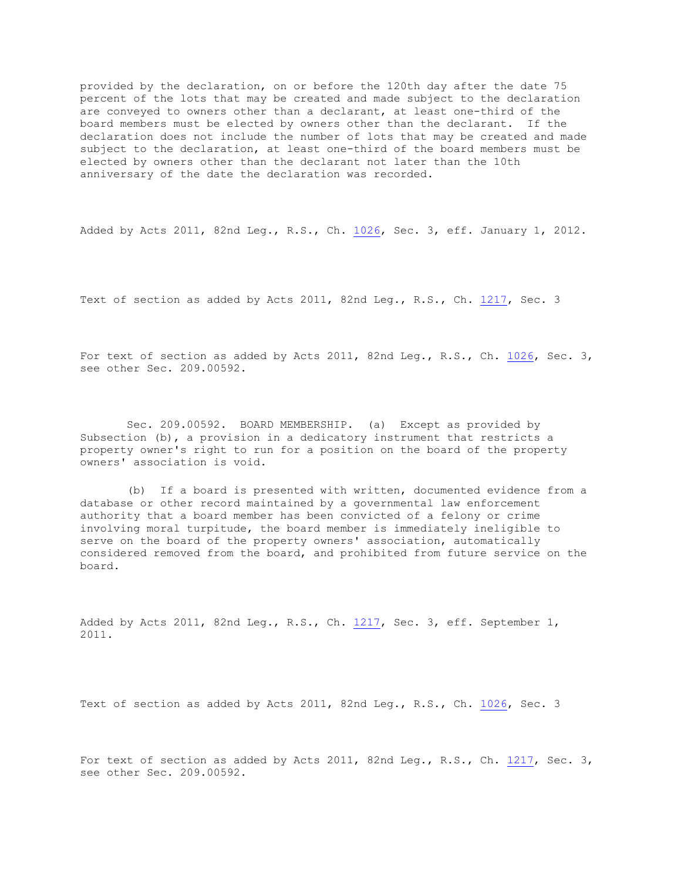provided by the declaration, on or before the 120th day after the date 75 percent of the lots that may be created and made subject to the declaration are conveyed to owners other than a declarant, at least one-third of the board members must be elected by owners other than the declarant. If the declaration does not include the number of lots that may be created and made subject to the declaration, at least one-third of the board members must be elected by owners other than the declarant not later than the 10th anniversary of the date the declaration was recorded.

Added by Acts 2011, 82nd Leg., R.S., Ch. [1026,](http://www.legis.state.tx.us/tlodocs/82R/billtext/html/HB02761F.HTM) Sec. 3, eff. January 1, 2012.

Text of section as added by Acts 2011, 82nd Leg., R.S., Ch. [1217,](http://www.legis.state.tx.us/tlodocs/82R/billtext/html/SB00472F.HTM) Sec. 3

For text of section as added by Acts 2011, 82nd Leg., R.S., Ch. [1026,](http://www.legis.state.tx.us/tlodocs/82R/billtext/html/HB02761F.HTM) Sec. 3, see other Sec. 209.00592.

Sec. 209.00592. BOARD MEMBERSHIP. (a) Except as provided by Subsection (b), a provision in a dedicatory instrument that restricts a property owner's right to run for a position on the board of the property owners' association is void.

(b) If a board is presented with written, documented evidence from a database or other record maintained by a governmental law enforcement authority that a board member has been convicted of a felony or crime involving moral turpitude, the board member is immediately ineligible to serve on the board of the property owners' association, automatically considered removed from the board, and prohibited from future service on the board.

Added by Acts 2011, 82nd Leg., R.S., Ch. [1217,](http://www.legis.state.tx.us/tlodocs/82R/billtext/html/SB00472F.HTM) Sec. 3, eff. September 1, 2011.

Text of section as added by Acts 2011, 82nd Leg., R.S., Ch. [1026,](http://www.legis.state.tx.us/tlodocs/82R/billtext/html/HB02761F.HTM) Sec. 3

For text of section as added by Acts 2011, 82nd Leg., R.S., Ch. [1217,](http://www.legis.state.tx.us/tlodocs/82R/billtext/html/SB00472F.HTM) Sec. 3, see other Sec. 209.00592.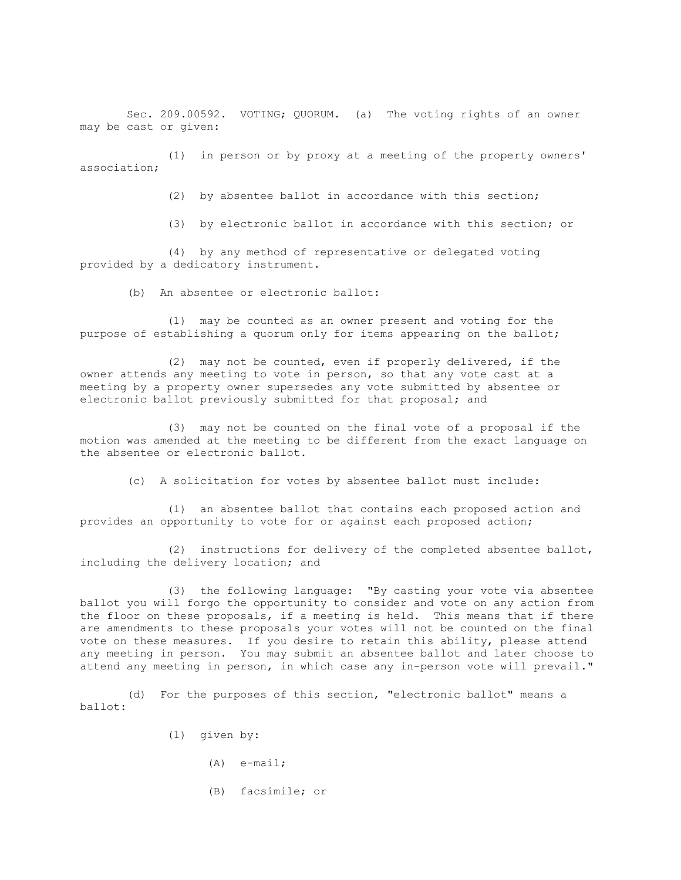Sec. 209.00592. VOTING; QUORUM. (a) The voting rights of an owner may be cast or given:

(1) in person or by proxy at a meeting of the property owners' association;

(2) by absentee ballot in accordance with this section;

(3) by electronic ballot in accordance with this section; or

(4) by any method of representative or delegated voting provided by a dedicatory instrument.

(b) An absentee or electronic ballot:

(1) may be counted as an owner present and voting for the purpose of establishing a quorum only for items appearing on the ballot;

(2) may not be counted, even if properly delivered, if the owner attends any meeting to vote in person, so that any vote cast at a meeting by a property owner supersedes any vote submitted by absentee or electronic ballot previously submitted for that proposal; and

(3) may not be counted on the final vote of a proposal if the motion was amended at the meeting to be different from the exact language on the absentee or electronic ballot.

(c) A solicitation for votes by absentee ballot must include:

(1) an absentee ballot that contains each proposed action and provides an opportunity to vote for or against each proposed action;

(2) instructions for delivery of the completed absentee ballot, including the delivery location; and

(3) the following language: "By casting your vote via absentee ballot you will forgo the opportunity to consider and vote on any action from the floor on these proposals, if a meeting is held. This means that if there are amendments to these proposals your votes will not be counted on the final vote on these measures. If you desire to retain this ability, please attend any meeting in person. You may submit an absentee ballot and later choose to attend any meeting in person, in which case any in-person vote will prevail."

(d) For the purposes of this section, "electronic ballot" means a ballot:

- (1) given by:
	- (A) e-mail;
	- (B) facsimile; or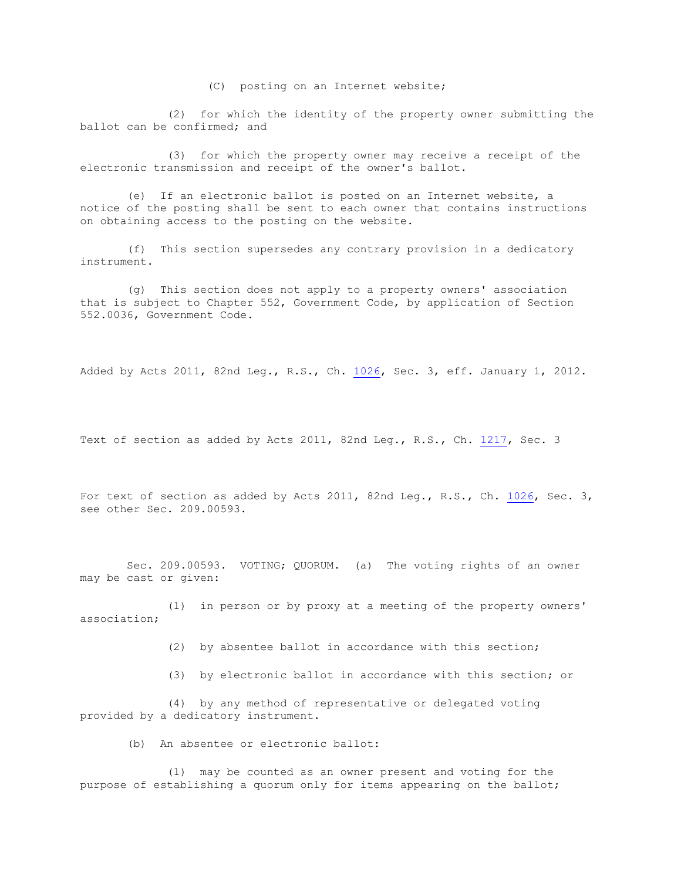(C) posting on an Internet website;

(2) for which the identity of the property owner submitting the ballot can be confirmed; and

(3) for which the property owner may receive a receipt of the electronic transmission and receipt of the owner's ballot.

(e) If an electronic ballot is posted on an Internet website, a notice of the posting shall be sent to each owner that contains instructions on obtaining access to the posting on the website.

(f) This section supersedes any contrary provision in a dedicatory instrument.

(g) This section does not apply to a property owners' association that is subject to Chapter 552, Government Code, by application of Section 552.0036, Government Code.

Added by Acts 2011, 82nd Leg., R.S., Ch. [1026,](http://www.legis.state.tx.us/tlodocs/82R/billtext/html/HB02761F.HTM) Sec. 3, eff. January 1, 2012.

Text of section as added by Acts 2011, 82nd Leg., R.S., Ch. [1217,](http://www.legis.state.tx.us/tlodocs/82R/billtext/html/SB00472F.HTM) Sec. 3

For text of section as added by Acts 2011, 82nd Leg., R.S., Ch. [1026,](http://www.legis.state.tx.us/tlodocs/82R/billtext/html/HB02761F.HTM) Sec. 3, see other Sec. 209.00593.

Sec. 209.00593. VOTING; QUORUM. (a) The voting rights of an owner may be cast or given:

(1) in person or by proxy at a meeting of the property owners' association;

(2) by absentee ballot in accordance with this section;

(3) by electronic ballot in accordance with this section; or

(4) by any method of representative or delegated voting provided by a dedicatory instrument.

(b) An absentee or electronic ballot:

(1) may be counted as an owner present and voting for the purpose of establishing a quorum only for items appearing on the ballot;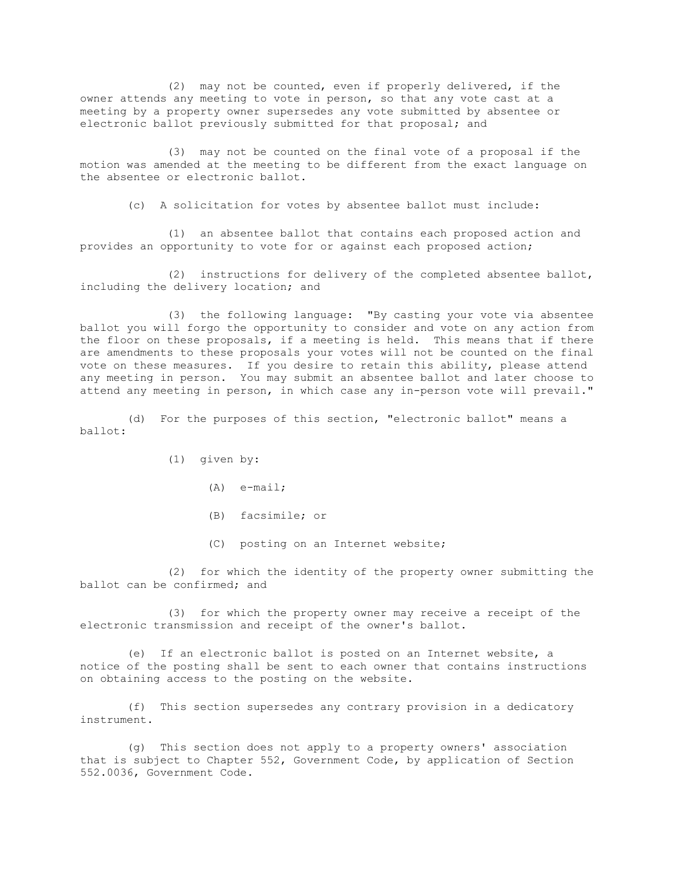(2) may not be counted, even if properly delivered, if the owner attends any meeting to vote in person, so that any vote cast at a meeting by a property owner supersedes any vote submitted by absentee or electronic ballot previously submitted for that proposal; and

(3) may not be counted on the final vote of a proposal if the motion was amended at the meeting to be different from the exact language on the absentee or electronic ballot.

(c) A solicitation for votes by absentee ballot must include:

(1) an absentee ballot that contains each proposed action and provides an opportunity to vote for or against each proposed action;

(2) instructions for delivery of the completed absentee ballot, including the delivery location; and

(3) the following language: "By casting your vote via absentee ballot you will forgo the opportunity to consider and vote on any action from the floor on these proposals, if a meeting is held. This means that if there are amendments to these proposals your votes will not be counted on the final vote on these measures. If you desire to retain this ability, please attend any meeting in person. You may submit an absentee ballot and later choose to attend any meeting in person, in which case any in-person vote will prevail."

(d) For the purposes of this section, "electronic ballot" means a ballot:

(1) given by:

- (A) e-mail;
- (B) facsimile; or
- (C) posting on an Internet website;

(2) for which the identity of the property owner submitting the ballot can be confirmed; and

(3) for which the property owner may receive a receipt of the electronic transmission and receipt of the owner's ballot.

(e) If an electronic ballot is posted on an Internet website, a notice of the posting shall be sent to each owner that contains instructions on obtaining access to the posting on the website.

(f) This section supersedes any contrary provision in a dedicatory instrument.

(g) This section does not apply to a property owners' association that is subject to Chapter 552, Government Code, by application of Section 552.0036, Government Code.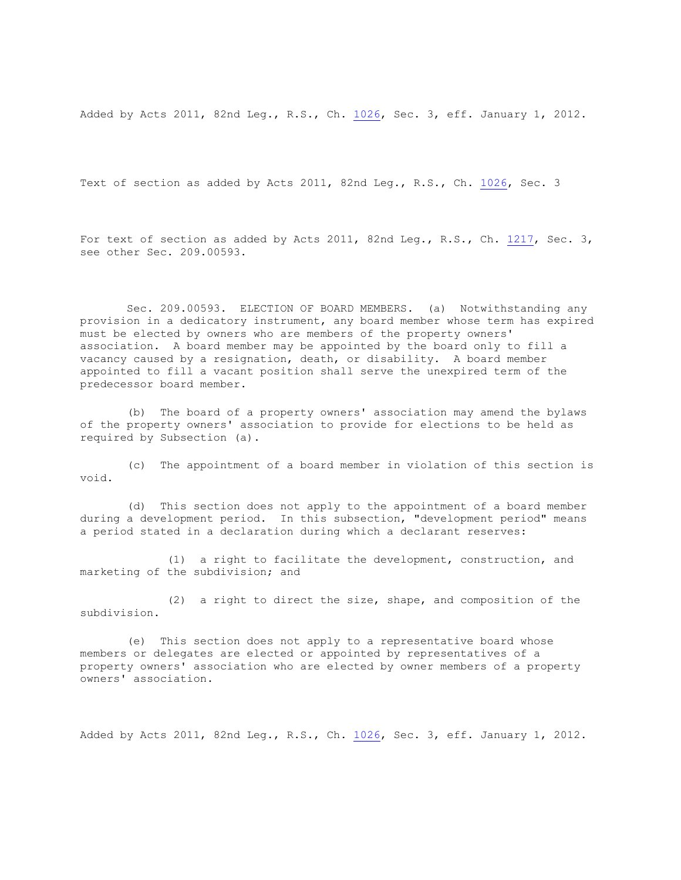Added by Acts 2011, 82nd Leg., R.S., Ch. [1026,](http://www.legis.state.tx.us/tlodocs/82R/billtext/html/HB02761F.HTM) Sec. 3, eff. January 1, 2012.

Text of section as added by Acts 2011, 82nd Leg., R.S., Ch. [1026,](http://www.legis.state.tx.us/tlodocs/82R/billtext/html/HB02761F.HTM) Sec. 3

For text of section as added by Acts 2011, 82nd Leq., R.S., Ch. [1217,](http://www.legis.state.tx.us/tlodocs/82R/billtext/html/SB00472F.HTM) Sec. 3, see other Sec. 209.00593.

Sec. 209.00593. ELECTION OF BOARD MEMBERS. (a) Notwithstanding any provision in a dedicatory instrument, any board member whose term has expired must be elected by owners who are members of the property owners' association. A board member may be appointed by the board only to fill a vacancy caused by a resignation, death, or disability. A board member appointed to fill a vacant position shall serve the unexpired term of the predecessor board member.

(b) The board of a property owners' association may amend the bylaws of the property owners' association to provide for elections to be held as required by Subsection (a).

(c) The appointment of a board member in violation of this section is void.

(d) This section does not apply to the appointment of a board member during a development period. In this subsection, "development period" means a period stated in a declaration during which a declarant reserves:

(1) a right to facilitate the development, construction, and marketing of the subdivision; and

(2) a right to direct the size, shape, and composition of the subdivision.

(e) This section does not apply to a representative board whose members or delegates are elected or appointed by representatives of a property owners' association who are elected by owner members of a property owners' association.

Added by Acts 2011, 82nd Leg., R.S., Ch. [1026,](http://www.legis.state.tx.us/tlodocs/82R/billtext/html/HB02761F.HTM) Sec. 3, eff. January 1, 2012.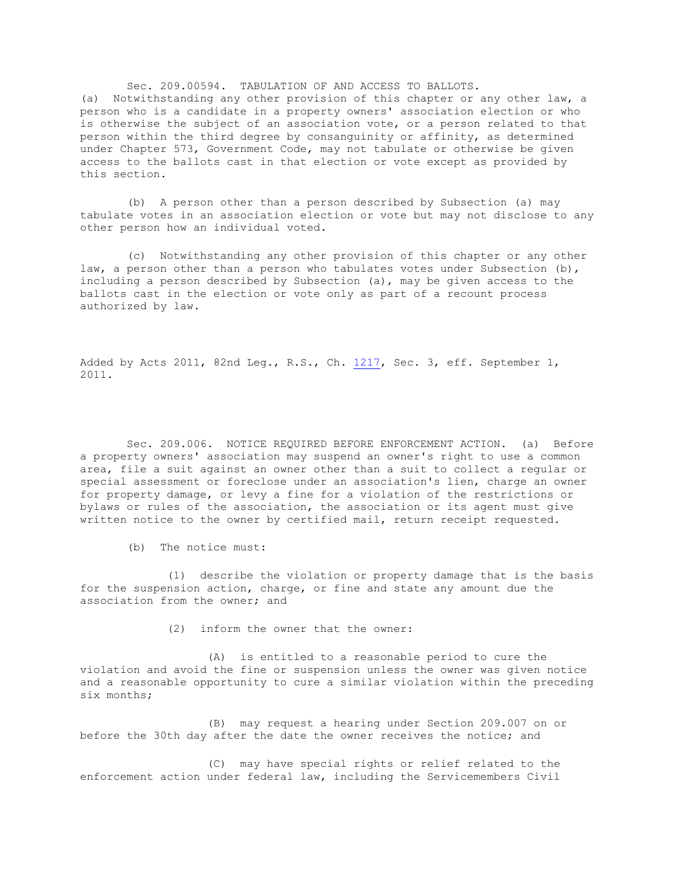Sec. 209.00594. TABULATION OF AND ACCESS TO BALLOTS. (a) Notwithstanding any other provision of this chapter or any other law, a person who is a candidate in a property owners' association election or who is otherwise the subject of an association vote, or a person related to that person within the third degree by consanguinity or affinity, as determined under Chapter 573, Government Code, may not tabulate or otherwise be given access to the ballots cast in that election or vote except as provided by this section.

(b) A person other than a person described by Subsection (a) may tabulate votes in an association election or vote but may not disclose to any other person how an individual voted.

(c) Notwithstanding any other provision of this chapter or any other law, a person other than a person who tabulates votes under Subsection (b), including a person described by Subsection (a), may be given access to the ballots cast in the election or vote only as part of a recount process authorized by law.

Added by Acts 2011, 82nd Leg., R.S., Ch. [1217,](http://www.legis.state.tx.us/tlodocs/82R/billtext/html/SB00472F.HTM) Sec. 3, eff. September 1, 2011.

Sec. 209.006. NOTICE REQUIRED BEFORE ENFORCEMENT ACTION. (a) Before a property owners' association may suspend an owner's right to use a common area, file a suit against an owner other than a suit to collect a regular or special assessment or foreclose under an association's lien, charge an owner for property damage, or levy a fine for a violation of the restrictions or bylaws or rules of the association, the association or its agent must give written notice to the owner by certified mail, return receipt requested.

(b) The notice must:

(1) describe the violation or property damage that is the basis for the suspension action, charge, or fine and state any amount due the association from the owner; and

(2) inform the owner that the owner:

(A) is entitled to a reasonable period to cure the violation and avoid the fine or suspension unless the owner was given notice and a reasonable opportunity to cure a similar violation within the preceding six months;

(B) may request a hearing under Section 209.007 on or before the 30th day after the date the owner receives the notice; and

(C) may have special rights or relief related to the enforcement action under federal law, including the Servicemembers Civil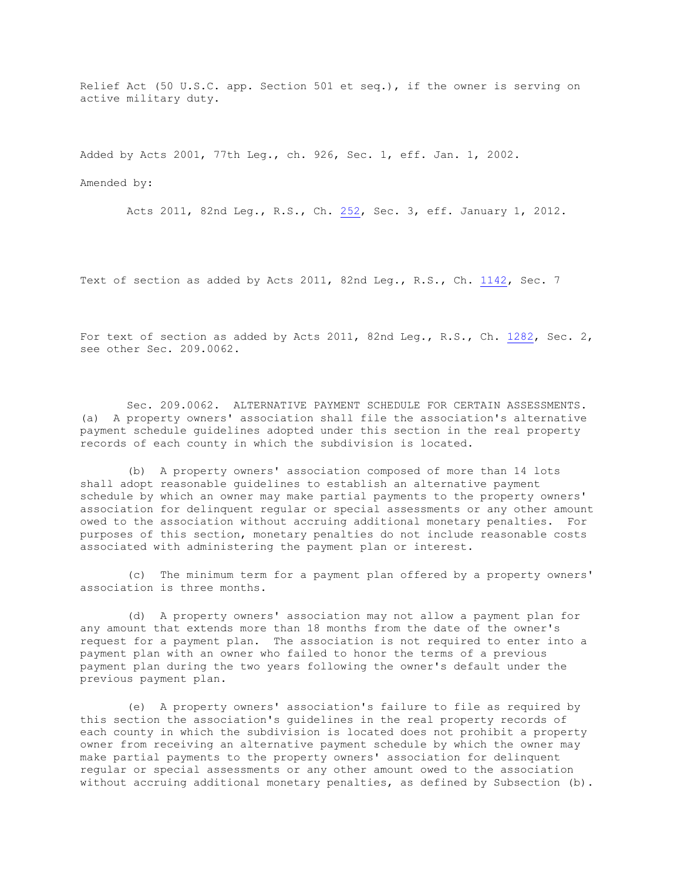Relief Act (50 U.S.C. app. Section 501 et seq.), if the owner is serving on active military duty.

Added by Acts 2001, 77th Leg., ch. 926, Sec. 1, eff. Jan. 1, 2002.

Amended by:

Acts 2011, 82nd Leg., R.S., Ch. [252,](http://www.legis.state.tx.us/tlodocs/82R/billtext/html/HB01127F.HTM) Sec. 3, eff. January 1, 2012.

Text of section as added by Acts 2011, 82nd Leg., R.S., Ch. [1142,](http://www.legis.state.tx.us/tlodocs/82R/billtext/html/HB01821F.HTM) Sec. 7

For text of section as added by Acts 2011, 82nd Leg., R.S., Ch. [1282,](http://www.legis.state.tx.us/tlodocs/82R/billtext/html/HB01228F.HTM) Sec. 2, see other Sec. 209.0062.

Sec. 209.0062. ALTERNATIVE PAYMENT SCHEDULE FOR CERTAIN ASSESSMENTS. (a) A property owners' association shall file the association's alternative payment schedule guidelines adopted under this section in the real property records of each county in which the subdivision is located.

(b) A property owners' association composed of more than 14 lots shall adopt reasonable guidelines to establish an alternative payment schedule by which an owner may make partial payments to the property owners' association for delinquent regular or special assessments or any other amount owed to the association without accruing additional monetary penalties. For purposes of this section, monetary penalties do not include reasonable costs associated with administering the payment plan or interest.

(c) The minimum term for a payment plan offered by a property owners' association is three months.

(d) A property owners' association may not allow a payment plan for any amount that extends more than 18 months from the date of the owner's request for a payment plan. The association is not required to enter into a payment plan with an owner who failed to honor the terms of a previous payment plan during the two years following the owner's default under the previous payment plan.

(e) A property owners' association's failure to file as required by this section the association's guidelines in the real property records of each county in which the subdivision is located does not prohibit a property owner from receiving an alternative payment schedule by which the owner may make partial payments to the property owners' association for delinquent regular or special assessments or any other amount owed to the association without accruing additional monetary penalties, as defined by Subsection (b).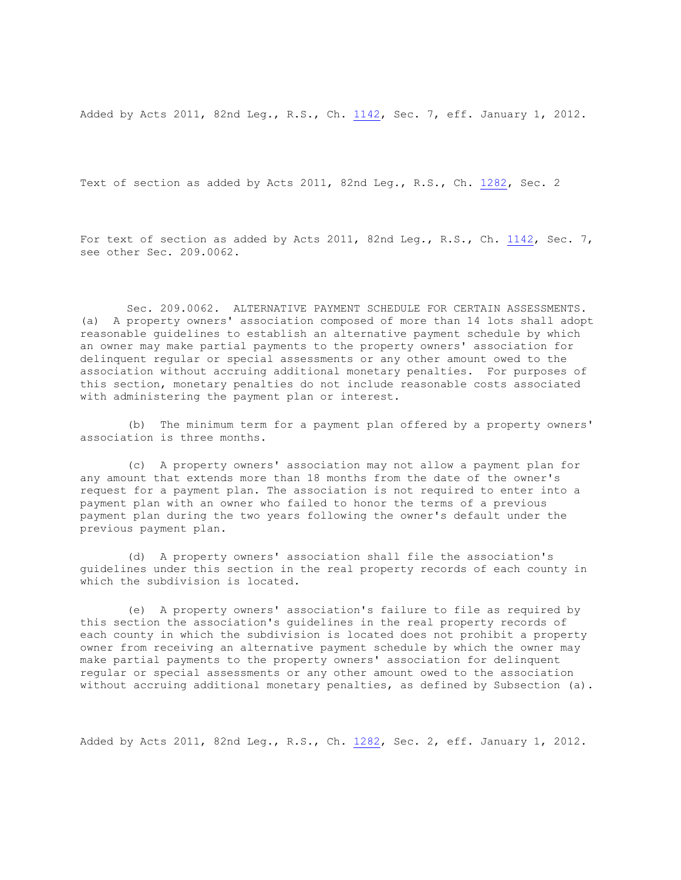Added by Acts 2011, 82nd Leg., R.S., Ch. [1142,](http://www.legis.state.tx.us/tlodocs/82R/billtext/html/HB01821F.HTM) Sec. 7, eff. January 1, 2012.

Text of section as added by Acts 2011, 82nd Leg., R.S., Ch. [1282,](http://www.legis.state.tx.us/tlodocs/82R/billtext/html/HB01228F.HTM) Sec. 2

For text of section as added by Acts 2011, 82nd Leq., R.S., Ch. [1142,](http://www.legis.state.tx.us/tlodocs/82R/billtext/html/HB01821F.HTM) Sec. 7, see other Sec. 209.0062.

Sec. 209.0062. ALTERNATIVE PAYMENT SCHEDULE FOR CERTAIN ASSESSMENTS. (a) A property owners' association composed of more than 14 lots shall adopt reasonable guidelines to establish an alternative payment schedule by which an owner may make partial payments to the property owners' association for delinquent regular or special assessments or any other amount owed to the association without accruing additional monetary penalties. For purposes of this section, monetary penalties do not include reasonable costs associated with administering the payment plan or interest.

(b) The minimum term for a payment plan offered by a property owners' association is three months.

(c) A property owners' association may not allow a payment plan for any amount that extends more than 18 months from the date of the owner's request for a payment plan. The association is not required to enter into a payment plan with an owner who failed to honor the terms of a previous payment plan during the two years following the owner's default under the previous payment plan.

(d) A property owners' association shall file the association's guidelines under this section in the real property records of each county in which the subdivision is located.

(e) A property owners' association's failure to file as required by this section the association's guidelines in the real property records of each county in which the subdivision is located does not prohibit a property owner from receiving an alternative payment schedule by which the owner may make partial payments to the property owners' association for delinquent regular or special assessments or any other amount owed to the association without accruing additional monetary penalties, as defined by Subsection (a).

Added by Acts 2011, 82nd Leg., R.S., Ch. [1282,](http://www.legis.state.tx.us/tlodocs/82R/billtext/html/HB01228F.HTM) Sec. 2, eff. January 1, 2012.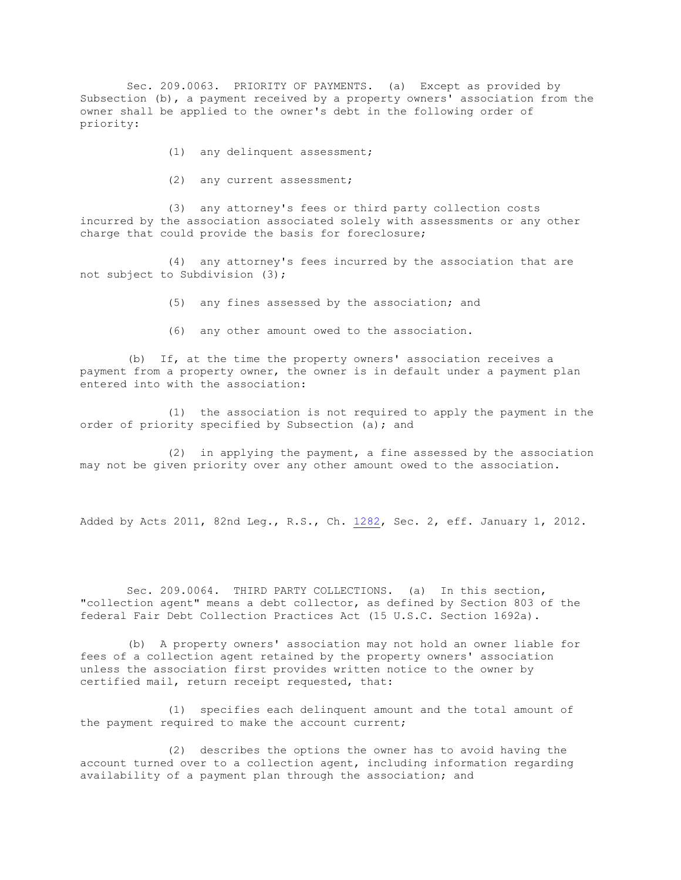Sec. 209.0063. PRIORITY OF PAYMENTS. (a) Except as provided by Subsection (b), a payment received by a property owners' association from the owner shall be applied to the owner's debt in the following order of priority:

- (1) any delinquent assessment;
- (2) any current assessment;

(3) any attorney's fees or third party collection costs incurred by the association associated solely with assessments or any other charge that could provide the basis for foreclosure;

(4) any attorney's fees incurred by the association that are not subject to Subdivision (3);

- (5) any fines assessed by the association; and
- (6) any other amount owed to the association.

(b) If, at the time the property owners' association receives a payment from a property owner, the owner is in default under a payment plan entered into with the association:

(1) the association is not required to apply the payment in the order of priority specified by Subsection (a); and

(2) in applying the payment, a fine assessed by the association may not be given priority over any other amount owed to the association.

Added by Acts 2011, 82nd Leg., R.S., Ch. [1282,](http://www.legis.state.tx.us/tlodocs/82R/billtext/html/HB01228F.HTM) Sec. 2, eff. January 1, 2012.

Sec. 209.0064. THIRD PARTY COLLECTIONS. (a) In this section, "collection agent" means a debt collector, as defined by Section 803 of the federal Fair Debt Collection Practices Act (15 U.S.C. Section 1692a).

(b) A property owners' association may not hold an owner liable for fees of a collection agent retained by the property owners' association unless the association first provides written notice to the owner by certified mail, return receipt requested, that:

(1) specifies each delinquent amount and the total amount of the payment required to make the account current;

(2) describes the options the owner has to avoid having the account turned over to a collection agent, including information regarding availability of a payment plan through the association; and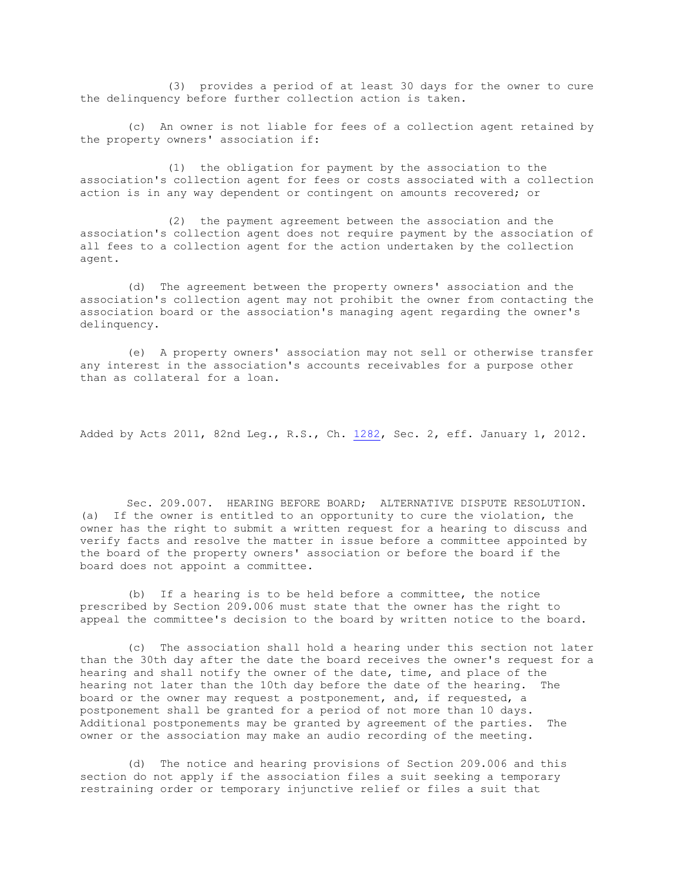(3) provides a period of at least 30 days for the owner to cure the delinquency before further collection action is taken.

(c) An owner is not liable for fees of a collection agent retained by the property owners' association if:

(1) the obligation for payment by the association to the association's collection agent for fees or costs associated with a collection action is in any way dependent or contingent on amounts recovered; or

(2) the payment agreement between the association and the association's collection agent does not require payment by the association of all fees to a collection agent for the action undertaken by the collection agent.

(d) The agreement between the property owners' association and the association's collection agent may not prohibit the owner from contacting the association board or the association's managing agent regarding the owner's delinquency.

(e) A property owners' association may not sell or otherwise transfer any interest in the association's accounts receivables for a purpose other than as collateral for a loan.

Added by Acts 2011, 82nd Leg., R.S., Ch. [1282,](http://www.legis.state.tx.us/tlodocs/82R/billtext/html/HB01228F.HTM) Sec. 2, eff. January 1, 2012.

Sec. 209.007. HEARING BEFORE BOARD; ALTERNATIVE DISPUTE RESOLUTION. (a) If the owner is entitled to an opportunity to cure the violation, the owner has the right to submit a written request for a hearing to discuss and verify facts and resolve the matter in issue before a committee appointed by the board of the property owners' association or before the board if the board does not appoint a committee.

(b) If a hearing is to be held before a committee, the notice prescribed by Section 209.006 must state that the owner has the right to appeal the committee's decision to the board by written notice to the board.

(c) The association shall hold a hearing under this section not later than the 30th day after the date the board receives the owner's request for a hearing and shall notify the owner of the date, time, and place of the hearing not later than the 10th day before the date of the hearing. The board or the owner may request a postponement, and, if requested, a postponement shall be granted for a period of not more than 10 days. Additional postponements may be granted by agreement of the parties. The owner or the association may make an audio recording of the meeting.

(d) The notice and hearing provisions of Section 209.006 and this section do not apply if the association files a suit seeking a temporary restraining order or temporary injunctive relief or files a suit that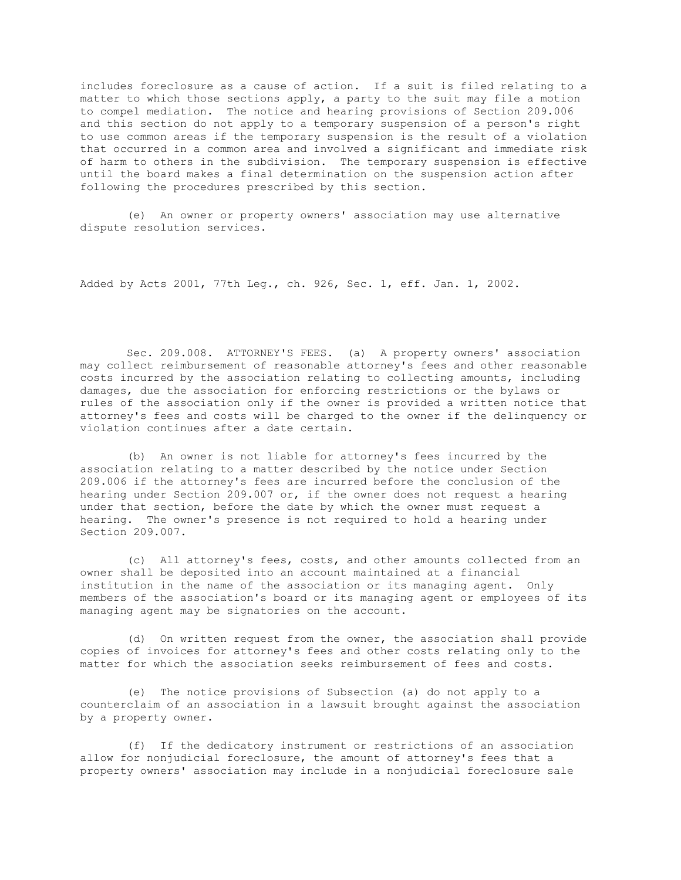includes foreclosure as a cause of action. If a suit is filed relating to a matter to which those sections apply, a party to the suit may file a motion to compel mediation. The notice and hearing provisions of Section 209.006 and this section do not apply to a temporary suspension of a person's right to use common areas if the temporary suspension is the result of a violation that occurred in a common area and involved a significant and immediate risk of harm to others in the subdivision. The temporary suspension is effective until the board makes a final determination on the suspension action after following the procedures prescribed by this section.

(e) An owner or property owners' association may use alternative dispute resolution services.

Added by Acts 2001, 77th Leg., ch. 926, Sec. 1, eff. Jan. 1, 2002.

Sec. 209.008. ATTORNEY'S FEES. (a) A property owners' association may collect reimbursement of reasonable attorney's fees and other reasonable costs incurred by the association relating to collecting amounts, including damages, due the association for enforcing restrictions or the bylaws or rules of the association only if the owner is provided a written notice that attorney's fees and costs will be charged to the owner if the delinquency or violation continues after a date certain.

(b) An owner is not liable for attorney's fees incurred by the association relating to a matter described by the notice under Section 209.006 if the attorney's fees are incurred before the conclusion of the hearing under Section 209.007 or, if the owner does not request a hearing under that section, before the date by which the owner must request a hearing. The owner's presence is not required to hold a hearing under Section 209.007.

(c) All attorney's fees, costs, and other amounts collected from an owner shall be deposited into an account maintained at a financial institution in the name of the association or its managing agent. Only members of the association's board or its managing agent or employees of its managing agent may be signatories on the account.

(d) On written request from the owner, the association shall provide copies of invoices for attorney's fees and other costs relating only to the matter for which the association seeks reimbursement of fees and costs.

(e) The notice provisions of Subsection (a) do not apply to a counterclaim of an association in a lawsuit brought against the association by a property owner.

(f) If the dedicatory instrument or restrictions of an association allow for nonjudicial foreclosure, the amount of attorney's fees that a property owners' association may include in a nonjudicial foreclosure sale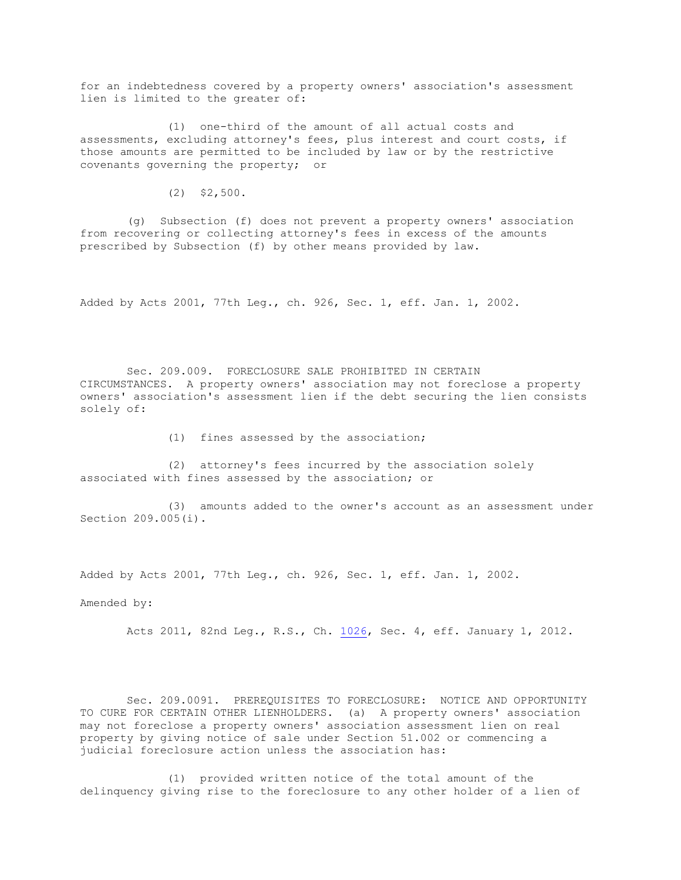for an indebtedness covered by a property owners' association's assessment lien is limited to the greater of:

(1) one-third of the amount of all actual costs and assessments, excluding attorney's fees, plus interest and court costs, if those amounts are permitted to be included by law or by the restrictive covenants governing the property; or

 $(2)$  \$2,500.

(g) Subsection (f) does not prevent a property owners' association from recovering or collecting attorney's fees in excess of the amounts prescribed by Subsection (f) by other means provided by law.

Added by Acts 2001, 77th Leg., ch. 926, Sec. 1, eff. Jan. 1, 2002.

Sec. 209.009. FORECLOSURE SALE PROHIBITED IN CERTAIN CIRCUMSTANCES. A property owners' association may not foreclose a property owners' association's assessment lien if the debt securing the lien consists solely of:

(1) fines assessed by the association;

(2) attorney's fees incurred by the association solely associated with fines assessed by the association; or

(3) amounts added to the owner's account as an assessment under Section 209.005(i).

Added by Acts 2001, 77th Leg., ch. 926, Sec. 1, eff. Jan. 1, 2002.

Amended by:

Acts 2011, 82nd Leg., R.S., Ch. [1026,](http://www.legis.state.tx.us/tlodocs/82R/billtext/html/HB02761F.HTM) Sec. 4, eff. January 1, 2012.

Sec. 209.0091. PREREQUISITES TO FORECLOSURE: NOTICE AND OPPORTUNITY TO CURE FOR CERTAIN OTHER LIENHOLDERS. (a) A property owners' association may not foreclose a property owners' association assessment lien on real property by giving notice of sale under Section 51.002 or commencing a judicial foreclosure action unless the association has:

(1) provided written notice of the total amount of the delinquency giving rise to the foreclosure to any other holder of a lien of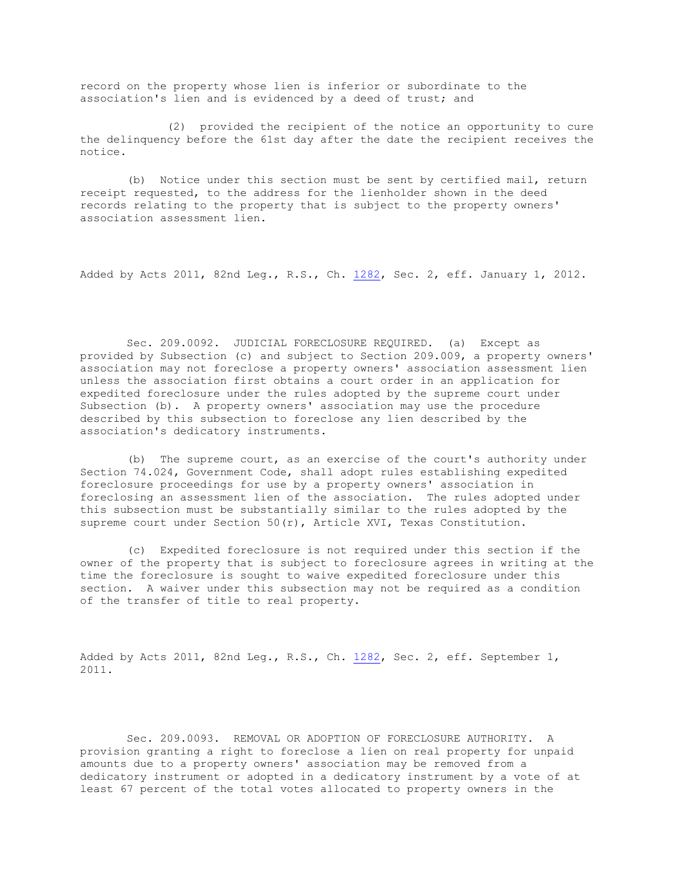record on the property whose lien is inferior or subordinate to the association's lien and is evidenced by a deed of trust; and

(2) provided the recipient of the notice an opportunity to cure the delinquency before the 61st day after the date the recipient receives the notice.

(b) Notice under this section must be sent by certified mail, return receipt requested, to the address for the lienholder shown in the deed records relating to the property that is subject to the property owners' association assessment lien.

Added by Acts 2011, 82nd Leg., R.S., Ch. [1282,](http://www.legis.state.tx.us/tlodocs/82R/billtext/html/HB01228F.HTM) Sec. 2, eff. January 1, 2012.

Sec. 209.0092. JUDICIAL FORECLOSURE REQUIRED. (a) Except as provided by Subsection (c) and subject to Section 209.009, a property owners' association may not foreclose a property owners' association assessment lien unless the association first obtains a court order in an application for expedited foreclosure under the rules adopted by the supreme court under Subsection (b). A property owners' association may use the procedure described by this subsection to foreclose any lien described by the association's dedicatory instruments.

(b) The supreme court, as an exercise of the court's authority under Section 74.024, Government Code, shall adopt rules establishing expedited foreclosure proceedings for use by a property owners' association in foreclosing an assessment lien of the association. The rules adopted under this subsection must be substantially similar to the rules adopted by the supreme court under Section 50(r), Article XVI, Texas Constitution.

(c) Expedited foreclosure is not required under this section if the owner of the property that is subject to foreclosure agrees in writing at the time the foreclosure is sought to waive expedited foreclosure under this section. A waiver under this subsection may not be required as a condition of the transfer of title to real property.

Added by Acts 2011, 82nd Leg., R.S., Ch. [1282,](http://www.legis.state.tx.us/tlodocs/82R/billtext/html/HB01228F.HTM) Sec. 2, eff. September 1, 2011.

Sec. 209.0093. REMOVAL OR ADOPTION OF FORECLOSURE AUTHORITY. A provision granting a right to foreclose a lien on real property for unpaid amounts due to a property owners' association may be removed from a dedicatory instrument or adopted in a dedicatory instrument by a vote of at least 67 percent of the total votes allocated to property owners in the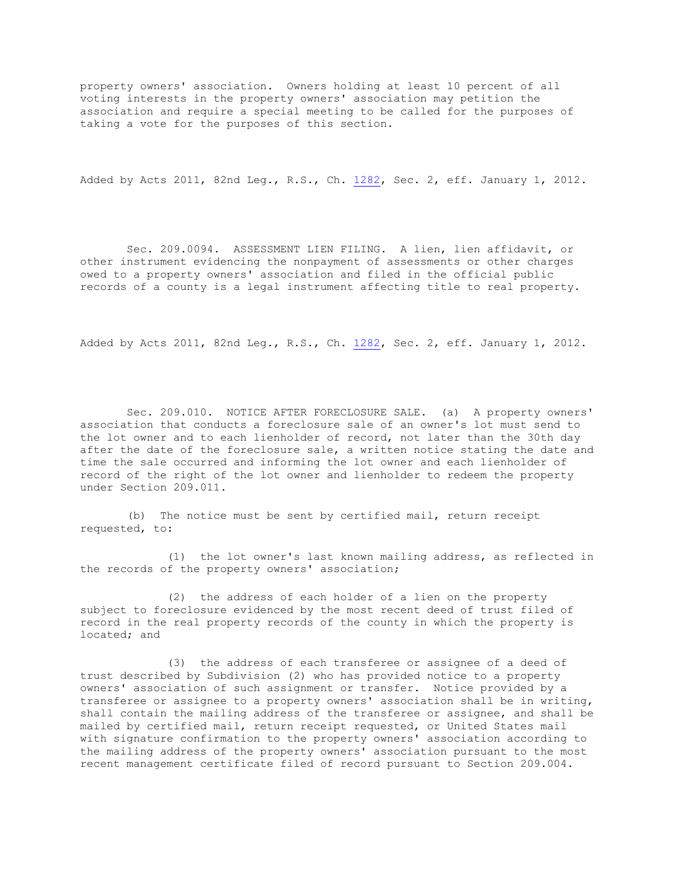property owners' association. Owners holding at least 10 percent of all voting interests in the property owners' association may petition the association and require a special meeting to be called for the purposes of taking a vote for the purposes of this section.

Added by Acts 2011, 82nd Leg., R.S., Ch. [1282,](http://www.legis.state.tx.us/tlodocs/82R/billtext/html/HB01228F.HTM) Sec. 2, eff. January 1, 2012.

Sec. 209.0094. ASSESSMENT LIEN FILING. A lien, lien affidavit, or other instrument evidencing the nonpayment of assessments or other charges owed to a property owners' association and filed in the official public records of a county is a legal instrument affecting title to real property.

Added by Acts 2011, 82nd Leg., R.S., Ch. [1282,](http://www.legis.state.tx.us/tlodocs/82R/billtext/html/HB01228F.HTM) Sec. 2, eff. January 1, 2012.

Sec. 209.010. NOTICE AFTER FORECLOSURE SALE. (a) A property owners' association that conducts a foreclosure sale of an owner's lot must send to the lot owner and to each lienholder of record, not later than the 30th day after the date of the foreclosure sale, a written notice stating the date and time the sale occurred and informing the lot owner and each lienholder of record of the right of the lot owner and lienholder to redeem the property under Section 209.011.

(b) The notice must be sent by certified mail, return receipt requested, to:

(1) the lot owner's last known mailing address, as reflected in the records of the property owners' association;

(2) the address of each holder of a lien on the property subject to foreclosure evidenced by the most recent deed of trust filed of record in the real property records of the county in which the property is located; and

(3) the address of each transferee or assignee of a deed of trust described by Subdivision (2) who has provided notice to a property owners' association of such assignment or transfer. Notice provided by a transferee or assignee to a property owners' association shall be in writing, shall contain the mailing address of the transferee or assignee, and shall be mailed by certified mail, return receipt requested, or United States mail with signature confirmation to the property owners' association according to the mailing address of the property owners' association pursuant to the most recent management certificate filed of record pursuant to Section 209.004.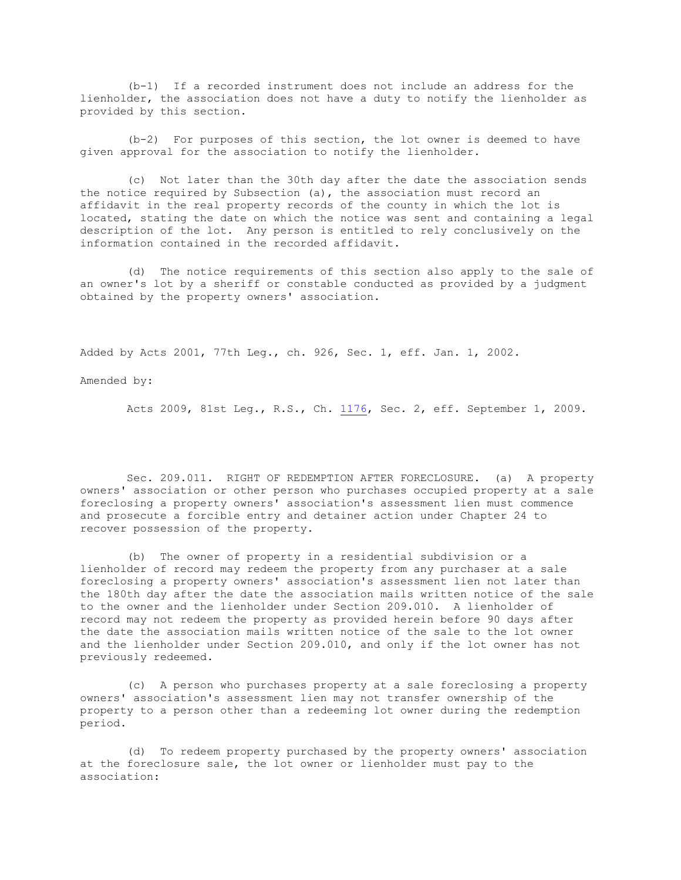(b-1) If a recorded instrument does not include an address for the lienholder, the association does not have a duty to notify the lienholder as provided by this section.

(b-2) For purposes of this section, the lot owner is deemed to have given approval for the association to notify the lienholder.

(c) Not later than the 30th day after the date the association sends the notice required by Subsection  $(a)$ , the association must record an affidavit in the real property records of the county in which the lot is located, stating the date on which the notice was sent and containing a legal description of the lot. Any person is entitled to rely conclusively on the information contained in the recorded affidavit.

(d) The notice requirements of this section also apply to the sale of an owner's lot by a sheriff or constable conducted as provided by a judgment obtained by the property owners' association.

Added by Acts 2001, 77th Leg., ch. 926, Sec. 1, eff. Jan. 1, 2002.

Amended by:

Acts 2009, 81st Leg., R.S., Ch. [1176,](http://www.legis.state.tx.us/tlodocs/81R/billtext/html/HB03479F.HTM) Sec. 2, eff. September 1, 2009.

Sec. 209.011. RIGHT OF REDEMPTION AFTER FORECLOSURE. (a) A property owners' association or other person who purchases occupied property at a sale foreclosing a property owners' association's assessment lien must commence and prosecute a forcible entry and detainer action under Chapter 24 to recover possession of the property.

(b) The owner of property in a residential subdivision or a lienholder of record may redeem the property from any purchaser at a sale foreclosing a property owners' association's assessment lien not later than the 180th day after the date the association mails written notice of the sale to the owner and the lienholder under Section 209.010. A lienholder of record may not redeem the property as provided herein before 90 days after the date the association mails written notice of the sale to the lot owner and the lienholder under Section 209.010, and only if the lot owner has not previously redeemed.

(c) A person who purchases property at a sale foreclosing a property owners' association's assessment lien may not transfer ownership of the property to a person other than a redeeming lot owner during the redemption period.

(d) To redeem property purchased by the property owners' association at the foreclosure sale, the lot owner or lienholder must pay to the association: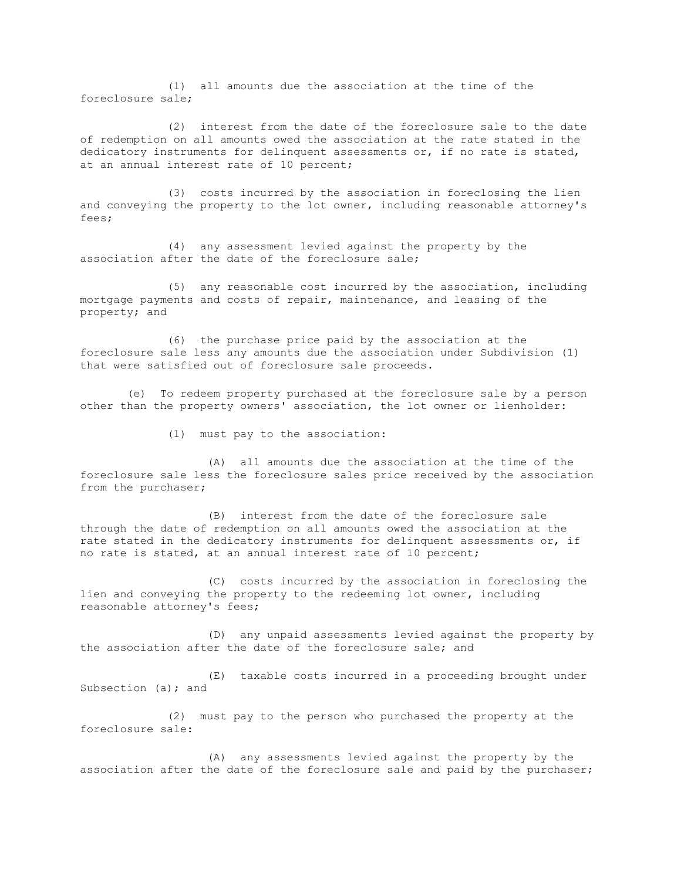(1) all amounts due the association at the time of the foreclosure sale;

(2) interest from the date of the foreclosure sale to the date of redemption on all amounts owed the association at the rate stated in the dedicatory instruments for delinquent assessments or, if no rate is stated, at an annual interest rate of 10 percent;

(3) costs incurred by the association in foreclosing the lien and conveying the property to the lot owner, including reasonable attorney's fees;

(4) any assessment levied against the property by the association after the date of the foreclosure sale;

(5) any reasonable cost incurred by the association, including mortgage payments and costs of repair, maintenance, and leasing of the property; and

(6) the purchase price paid by the association at the foreclosure sale less any amounts due the association under Subdivision (1) that were satisfied out of foreclosure sale proceeds.

(e) To redeem property purchased at the foreclosure sale by a person other than the property owners' association, the lot owner or lienholder:

(1) must pay to the association:

(A) all amounts due the association at the time of the foreclosure sale less the foreclosure sales price received by the association from the purchaser;

(B) interest from the date of the foreclosure sale through the date of redemption on all amounts owed the association at the rate stated in the dedicatory instruments for delinquent assessments or, if no rate is stated, at an annual interest rate of 10 percent;

(C) costs incurred by the association in foreclosing the lien and conveying the property to the redeeming lot owner, including reasonable attorney's fees;

(D) any unpaid assessments levied against the property by the association after the date of the foreclosure sale; and

(E) taxable costs incurred in a proceeding brought under Subsection (a); and

(2) must pay to the person who purchased the property at the foreclosure sale:

(A) any assessments levied against the property by the association after the date of the foreclosure sale and paid by the purchaser;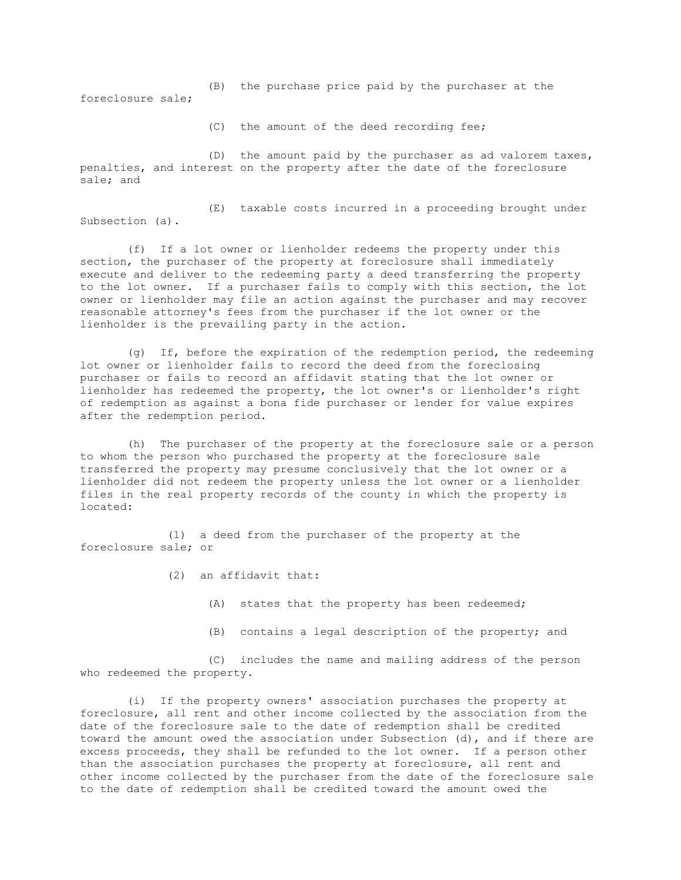(B) the purchase price paid by the purchaser at the foreclosure sale;

(C) the amount of the deed recording fee;

(D) the amount paid by the purchaser as ad valorem taxes, penalties, and interest on the property after the date of the foreclosure sale; and

(E) taxable costs incurred in a proceeding brought under Subsection (a).

(f) If a lot owner or lienholder redeems the property under this section, the purchaser of the property at foreclosure shall immediately execute and deliver to the redeeming party a deed transferring the property to the lot owner. If a purchaser fails to comply with this section, the lot owner or lienholder may file an action against the purchaser and may recover reasonable attorney's fees from the purchaser if the lot owner or the lienholder is the prevailing party in the action.

(g) If, before the expiration of the redemption period, the redeeming lot owner or lienholder fails to record the deed from the foreclosing purchaser or fails to record an affidavit stating that the lot owner or lienholder has redeemed the property, the lot owner's or lienholder's right of redemption as against a bona fide purchaser or lender for value expires after the redemption period.

(h) The purchaser of the property at the foreclosure sale or a person to whom the person who purchased the property at the foreclosure sale transferred the property may presume conclusively that the lot owner or a lienholder did not redeem the property unless the lot owner or a lienholder files in the real property records of the county in which the property is located:

(1) a deed from the purchaser of the property at the foreclosure sale; or

- (2) an affidavit that:
	- (A) states that the property has been redeemed;
	- (B) contains a legal description of the property; and

(C) includes the name and mailing address of the person who redeemed the property.

(i) If the property owners' association purchases the property at foreclosure, all rent and other income collected by the association from the date of the foreclosure sale to the date of redemption shall be credited toward the amount owed the association under Subsection (d), and if there are excess proceeds, they shall be refunded to the lot owner. If a person other than the association purchases the property at foreclosure, all rent and other income collected by the purchaser from the date of the foreclosure sale to the date of redemption shall be credited toward the amount owed the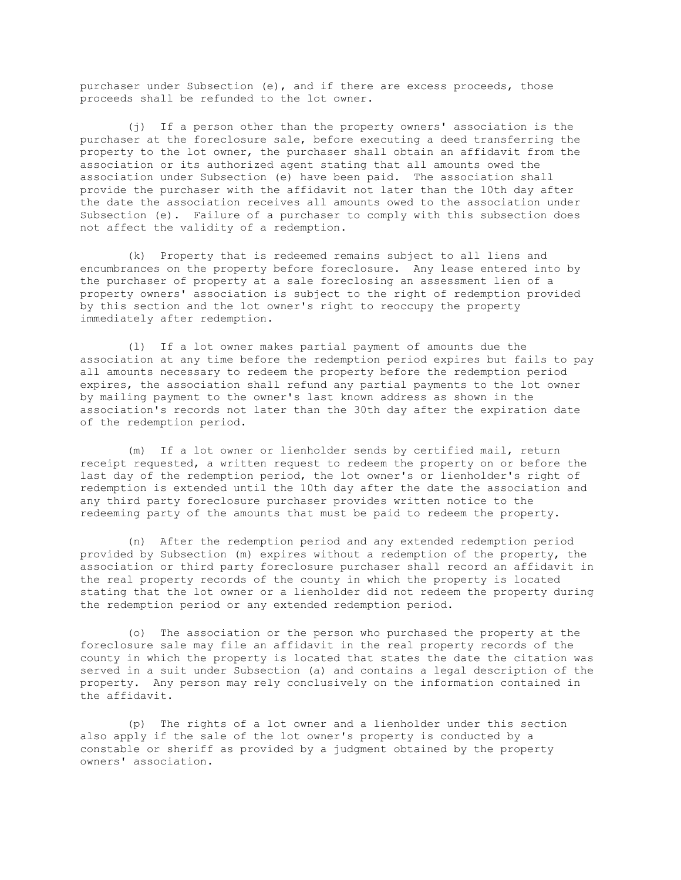purchaser under Subsection (e), and if there are excess proceeds, those proceeds shall be refunded to the lot owner.

(j) If a person other than the property owners' association is the purchaser at the foreclosure sale, before executing a deed transferring the property to the lot owner, the purchaser shall obtain an affidavit from the association or its authorized agent stating that all amounts owed the association under Subsection (e) have been paid. The association shall provide the purchaser with the affidavit not later than the 10th day after the date the association receives all amounts owed to the association under Subsection (e). Failure of a purchaser to comply with this subsection does not affect the validity of a redemption.

(k) Property that is redeemed remains subject to all liens and encumbrances on the property before foreclosure. Any lease entered into by the purchaser of property at a sale foreclosing an assessment lien of a property owners' association is subject to the right of redemption provided by this section and the lot owner's right to reoccupy the property immediately after redemption.

(l) If a lot owner makes partial payment of amounts due the association at any time before the redemption period expires but fails to pay all amounts necessary to redeem the property before the redemption period expires, the association shall refund any partial payments to the lot owner by mailing payment to the owner's last known address as shown in the association's records not later than the 30th day after the expiration date of the redemption period.

(m) If a lot owner or lienholder sends by certified mail, return receipt requested, a written request to redeem the property on or before the last day of the redemption period, the lot owner's or lienholder's right of redemption is extended until the 10th day after the date the association and any third party foreclosure purchaser provides written notice to the redeeming party of the amounts that must be paid to redeem the property.

(n) After the redemption period and any extended redemption period provided by Subsection (m) expires without a redemption of the property, the association or third party foreclosure purchaser shall record an affidavit in the real property records of the county in which the property is located stating that the lot owner or a lienholder did not redeem the property during the redemption period or any extended redemption period.

(o) The association or the person who purchased the property at the foreclosure sale may file an affidavit in the real property records of the county in which the property is located that states the date the citation was served in a suit under Subsection (a) and contains a legal description of the property. Any person may rely conclusively on the information contained in the affidavit.

(p) The rights of a lot owner and a lienholder under this section also apply if the sale of the lot owner's property is conducted by a constable or sheriff as provided by a judgment obtained by the property owners' association.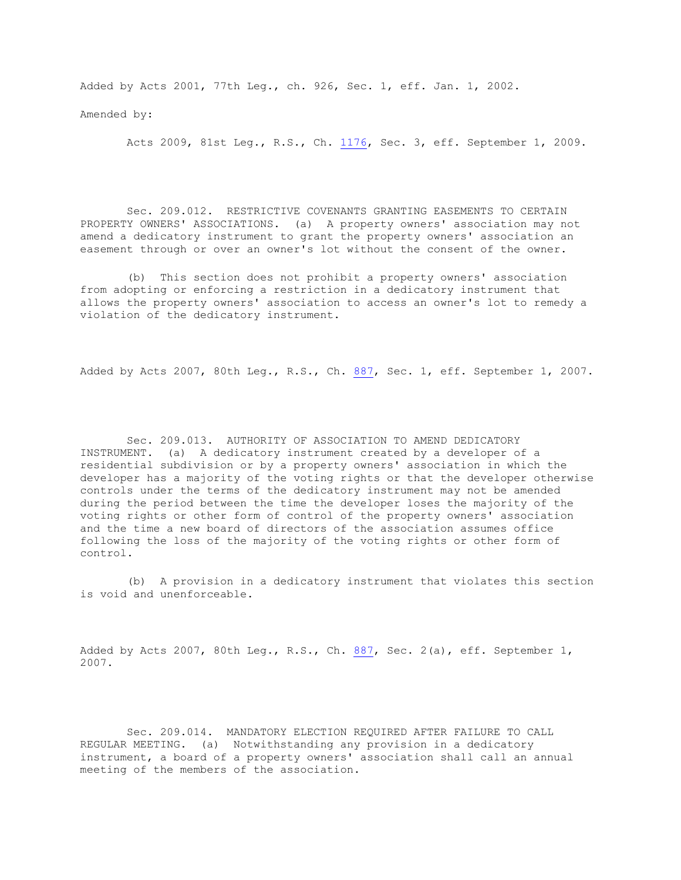Added by Acts 2001, 77th Leg., ch. 926, Sec. 1, eff. Jan. 1, 2002.

Amended by:

Acts 2009, 81st Leg., R.S., Ch. [1176,](http://www.legis.state.tx.us/tlodocs/81R/billtext/html/HB03479F.HTM) Sec. 3, eff. September 1, 2009.

Sec. 209.012. RESTRICTIVE COVENANTS GRANTING EASEMENTS TO CERTAIN PROPERTY OWNERS' ASSOCIATIONS. (a) A property owners' association may not amend a dedicatory instrument to grant the property owners' association an easement through or over an owner's lot without the consent of the owner.

(b) This section does not prohibit a property owners' association from adopting or enforcing a restriction in a dedicatory instrument that allows the property owners' association to access an owner's lot to remedy a violation of the dedicatory instrument.

Added by Acts 2007, 80th Leg., R.S., Ch. [887,](http://www.legis.state.tx.us/tlodocs/80R/billtext/html/HB02402F.HTM) Sec. 1, eff. September 1, 2007.

Sec. 209.013. AUTHORITY OF ASSOCIATION TO AMEND DEDICATORY INSTRUMENT. (a) A dedicatory instrument created by a developer of a residential subdivision or by a property owners' association in which the developer has a majority of the voting rights or that the developer otherwise controls under the terms of the dedicatory instrument may not be amended during the period between the time the developer loses the majority of the voting rights or other form of control of the property owners' association and the time a new board of directors of the association assumes office following the loss of the majority of the voting rights or other form of control.

(b) A provision in a dedicatory instrument that violates this section is void and unenforceable.

Added by Acts 2007, 80th Leg., R.S., Ch. [887,](http://www.legis.state.tx.us/tlodocs/80R/billtext/html/HB02402F.HTM) Sec. 2(a), eff. September 1, 2007.

Sec. 209.014. MANDATORY ELECTION REQUIRED AFTER FAILURE TO CALL REGULAR MEETING. (a) Notwithstanding any provision in a dedicatory instrument, a board of a property owners' association shall call an annual meeting of the members of the association.